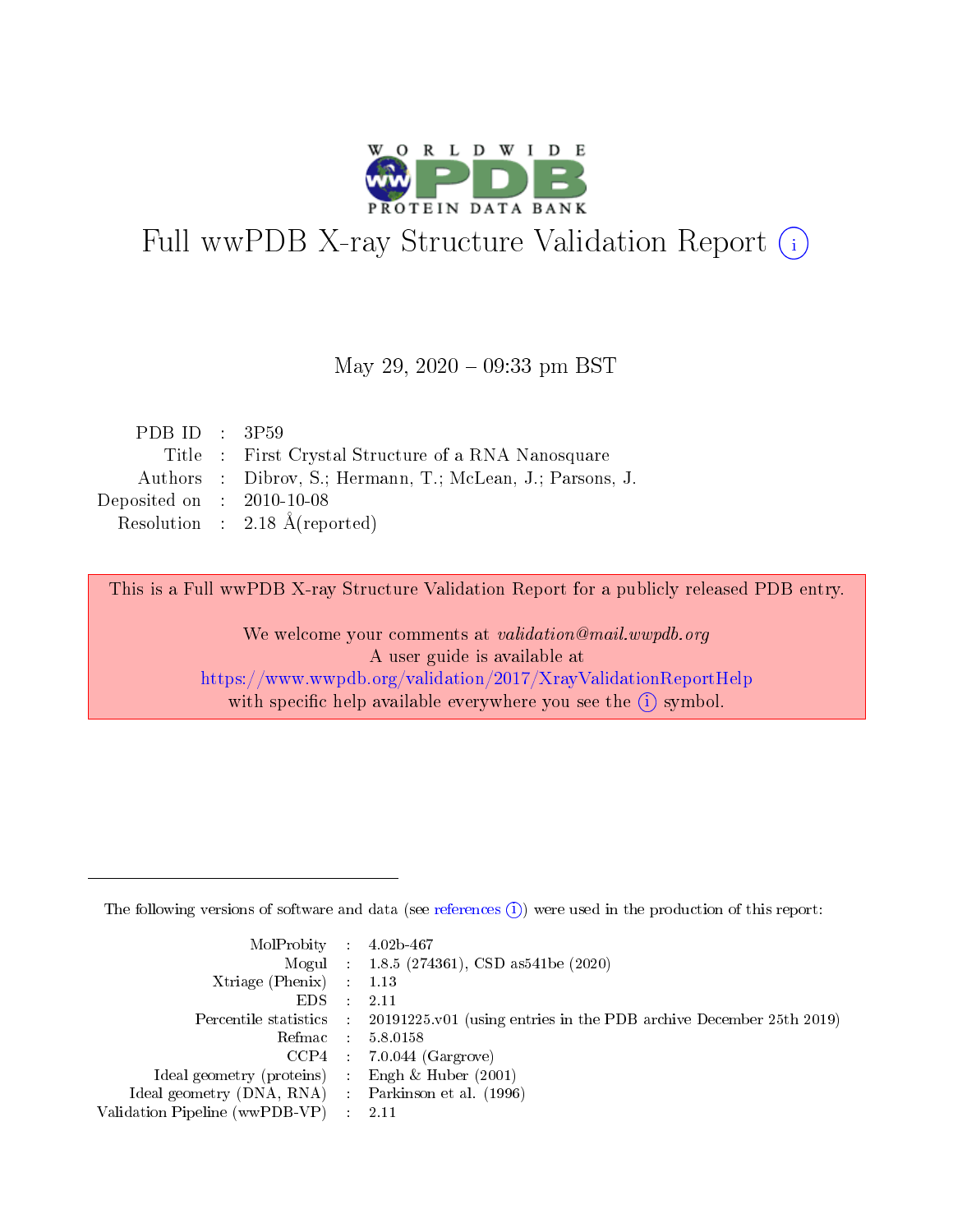

# Full wwPDB X-ray Structure Validation Report (i)

#### May 29,  $2020 - 09:33$  pm BST

| PDB ID : $3P59$                      |                                                            |
|--------------------------------------|------------------------------------------------------------|
|                                      | Title : First Crystal Structure of a RNA Nanosquare        |
|                                      | Authors : Dibrov, S.; Hermann, T.; McLean, J.; Parsons, J. |
| Deposited on $\therefore$ 2010-10-08 |                                                            |
|                                      | Resolution : $2.18 \text{ Å}$ (reported)                   |

This is a Full wwPDB X-ray Structure Validation Report for a publicly released PDB entry.

We welcome your comments at validation@mail.wwpdb.org A user guide is available at <https://www.wwpdb.org/validation/2017/XrayValidationReportHelp> with specific help available everywhere you see the  $(i)$  symbol.

The following versions of software and data (see [references](https://www.wwpdb.org/validation/2017/XrayValidationReportHelp#references)  $(1)$ ) were used in the production of this report:

| $MolProbability$ : 4.02b-467                        |                                                                                            |
|-----------------------------------------------------|--------------------------------------------------------------------------------------------|
|                                                     | Mogul : 1.8.5 (274361), CSD as 541be (2020)                                                |
| Xtriage (Phenix) $: 1.13$                           |                                                                                            |
| EDS :                                               | -2.11                                                                                      |
|                                                     | Percentile statistics : 20191225.v01 (using entries in the PDB archive December 25th 2019) |
| Refmac 58.0158                                      |                                                                                            |
|                                                     | $CCP4$ 7.0.044 (Gargrove)                                                                  |
| Ideal geometry (proteins) : Engh $\&$ Huber (2001)  |                                                                                            |
| Ideal geometry (DNA, RNA) : Parkinson et al. (1996) |                                                                                            |
| Validation Pipeline (wwPDB-VP) : 2.11               |                                                                                            |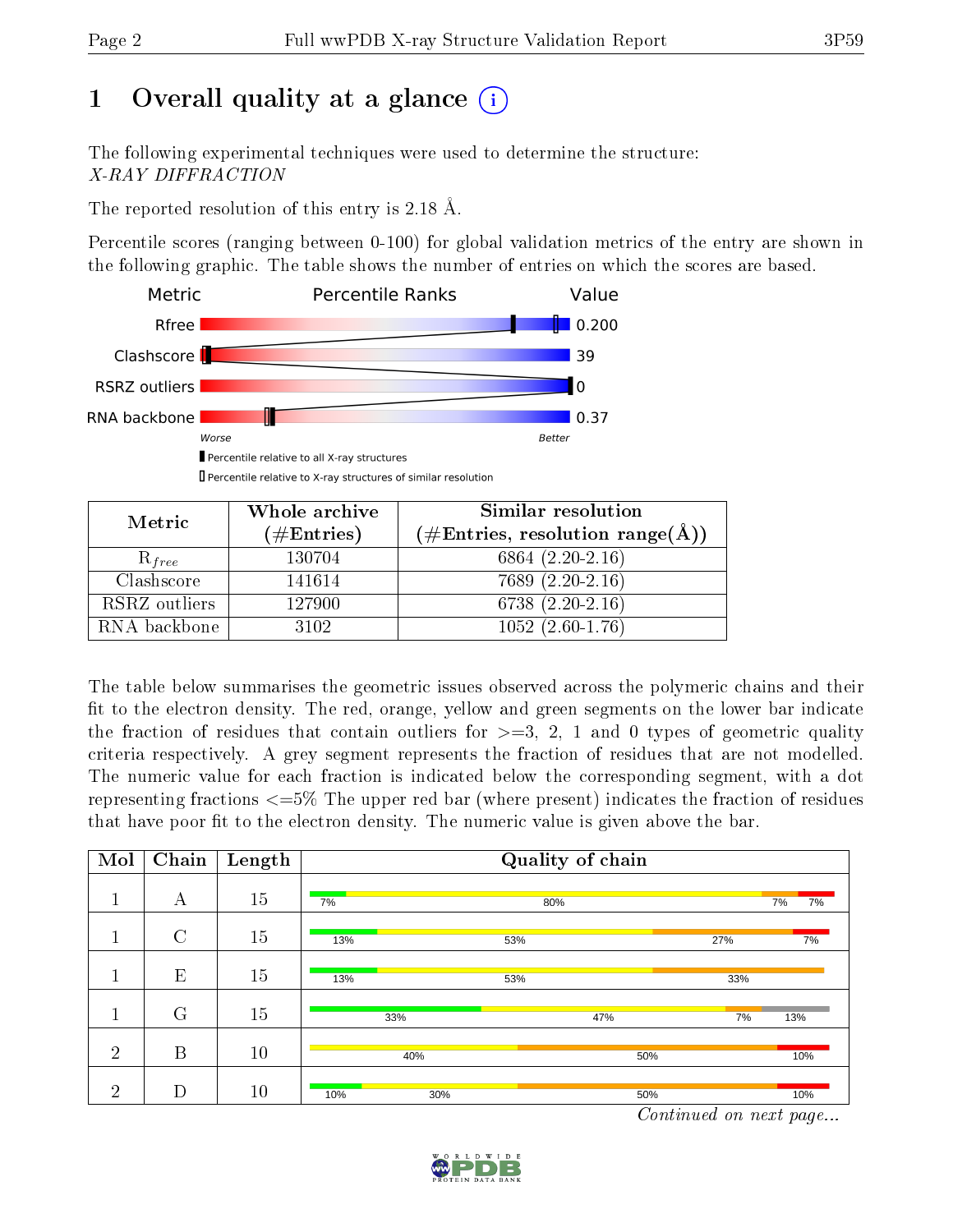# 1 [O](https://www.wwpdb.org/validation/2017/XrayValidationReportHelp#overall_quality)verall quality at a glance  $(i)$

The following experimental techniques were used to determine the structure: X-RAY DIFFRACTION

The reported resolution of this entry is 2.18 Å.

Percentile scores (ranging between 0-100) for global validation metrics of the entry are shown in the following graphic. The table shows the number of entries on which the scores are based.



| Metric        | Whole archive        | Similar resolution                                                |
|---------------|----------------------|-------------------------------------------------------------------|
|               | $(\#\text{Entries})$ | $(\# \text{Entries}, \text{ resolution } \text{range}(\text{A}))$ |
| $R_{free}$    | 130704               | $6864(2.20-2.16)$                                                 |
| Clashscore    | 141614               | 7689 (2.20-2.16)                                                  |
| RSRZ outliers | 127900               | 6738 (2.20-2.16)                                                  |
| RNA backbone  | 3102                 | $1052(2.60-1.76)$                                                 |

The table below summarises the geometric issues observed across the polymeric chains and their fit to the electron density. The red, orange, yellow and green segments on the lower bar indicate the fraction of residues that contain outliers for  $\geq=3$ , 2, 1 and 0 types of geometric quality criteria respectively. A grey segment represents the fraction of residues that are not modelled. The numeric value for each fraction is indicated below the corresponding segment, with a dot representing fractions  $\epsilon = 5\%$  The upper red bar (where present) indicates the fraction of residues that have poor fit to the electron density. The numeric value is given above the bar.

| Mol            | Chain          | Length |            | Quality of chain |                                                       |                                          |
|----------------|----------------|--------|------------|------------------|-------------------------------------------------------|------------------------------------------|
| $\mathbf 1$    | А              | 15     | 7%         | 80%              |                                                       | 7%<br>7%                                 |
| 1              | $\overline{C}$ | 15     | 13%        | 53%              | 27%                                                   | 7%                                       |
| п              | E              | 15     | 13%        | 53%              | 33%                                                   |                                          |
| $\mathbf{1}$   | $\mathbf G$    | 15     | 33%        | 47%              | 7%                                                    | 13%                                      |
| $\overline{2}$ | B              | 10     | 40%        |                  | 50%                                                   | 10%                                      |
| $\overline{2}$ | D              | 10     | 10%<br>30% |                  | 50%<br>$\sim$ $\sim$<br>$\mathbf{r}$ and $\mathbf{r}$ | 10%<br><b>Contract Contract Contract</b> |

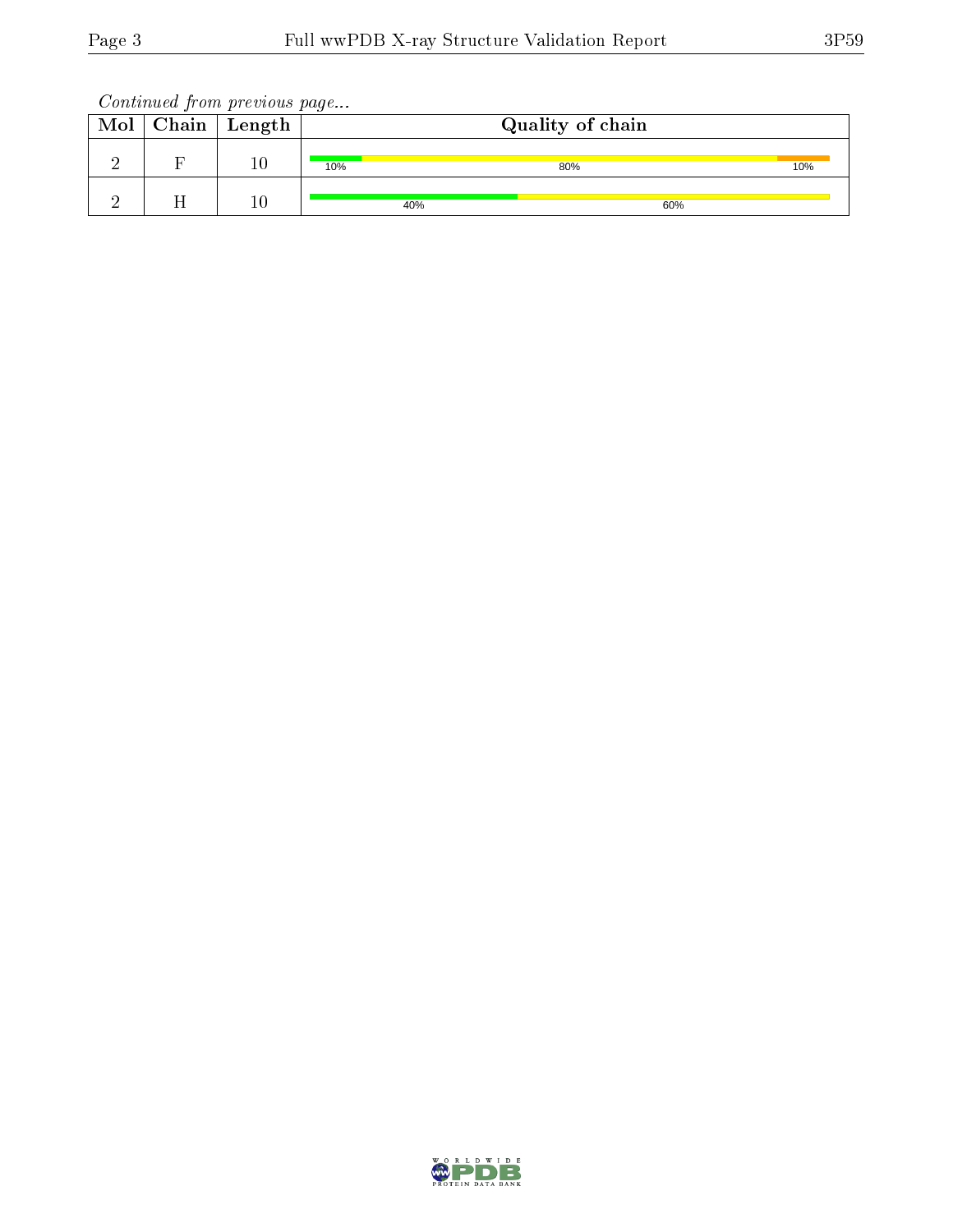Continued from previous page...

| Mol | $Chain$ $Length$ |     | Quality of chain |     |  |
|-----|------------------|-----|------------------|-----|--|
|     | $10\,$           | 10% | 80%              | 10% |  |
|     | $10\,$           | 40% | 60%              |     |  |

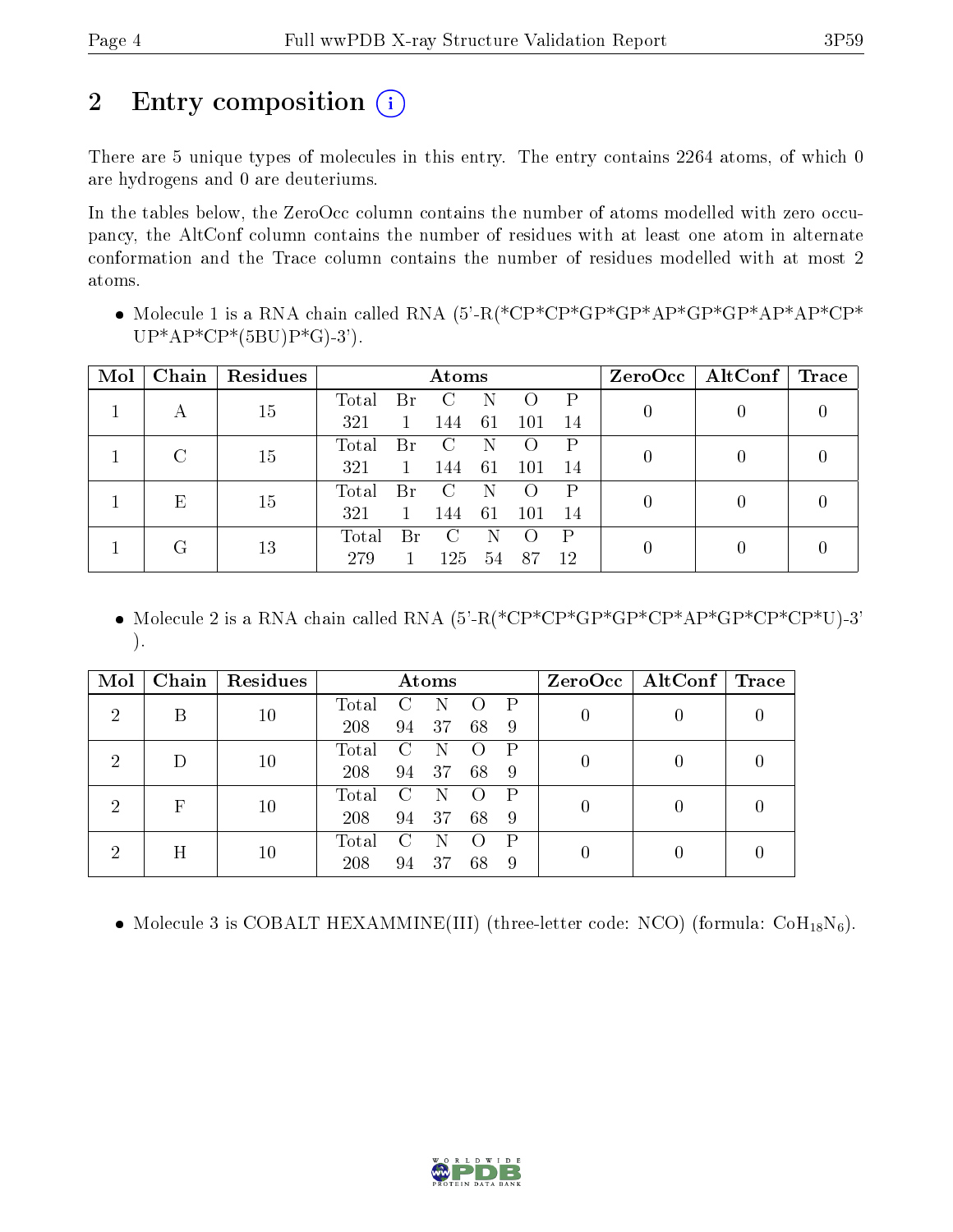# 2 Entry composition  $\left( \cdot \right)$

There are 5 unique types of molecules in this entry. The entry contains 2264 atoms, of which 0 are hydrogens and 0 are deuteriums.

In the tables below, the ZeroOcc column contains the number of atoms modelled with zero occupancy, the AltConf column contains the number of residues with at least one atom in alternate conformation and the Trace column contains the number of residues modelled with at most 2 atoms.

 Molecule 1 is a RNA chain called RNA (5'-R(\*CP\*CP\*GP\*GP\*AP\*GP\*GP\*AP\*AP\*CP\*  $UP^*AP^*CP^*(5BU)P^*G$ -3').

| Mol | Chain | Residues | Atoms                                        |                  | $ZeroOcc \mid AltConf \mid$ | $\operatorname{Trace}$ |
|-----|-------|----------|----------------------------------------------|------------------|-----------------------------|------------------------|
|     | А     | 15       | Total<br>P<br>Br                             | $\left( \right)$ | $\left( \right)$            |                        |
|     |       |          | 321<br>61<br>101<br>14<br>-144               |                  |                             |                        |
|     |       | 15       | Total<br>D<br>Br                             | $\left( \right)$ |                             |                        |
|     |       |          | 321<br>61<br>101<br>14<br>144                |                  |                             |                        |
|     | E     | 15       | Total<br>P<br>Br                             | $\left( \right)$ | $\left( \right)$            |                        |
|     |       |          | 321<br>61<br>101<br>14<br>-144               |                  |                             |                        |
|     | ( է   |          | $\mathbf{P}$<br>Total<br>Br<br>$\mathcal{C}$ |                  |                             |                        |
|     |       | 13       | 279<br>125<br>87<br>12<br>54                 | 0                |                             |                        |

 Molecule 2 is a RNA chain called RNA (5'-R(\*CP\*CP\*GP\*GP\*CP\*AP\*GP\*CP\*CP\*U)-3' ).

| Mol           | Chain | Residues |             |                        | Atoms |    |              |  | $ZeroOcc \mid AltConf \mid Trace$ |  |
|---------------|-------|----------|-------------|------------------------|-------|----|--------------|--|-----------------------------------|--|
| 2             | B     | 10       | Total       | $\mathcal{C}$          | N     |    | $\mathsf{P}$ |  |                                   |  |
|               |       |          | 208         | 94                     | 37    | 68 | -9           |  |                                   |  |
| $\mathcal{D}$ |       | 10       | Total       | $\Gamma$               | N     |    | P            |  |                                   |  |
|               |       |          | 208         | 94                     | 37    | 68 | -9           |  |                                   |  |
| റ             | F     | 10       | Total       | $\left( \cdot \right)$ |       |    | P            |  |                                   |  |
|               |       |          | 208         | 94                     | 37    | 68 | -9           |  |                                   |  |
| റ             | H     | 10       | $\rm Total$ |                        |       |    | P            |  |                                   |  |
|               |       |          | 208         | 94                     | 37    | 68 | -9           |  |                                   |  |

• Molecule 3 is COBALT HEXAMMINE(III) (three-letter code: NCO) (formula:  $CoH_{18}N_6$ ).

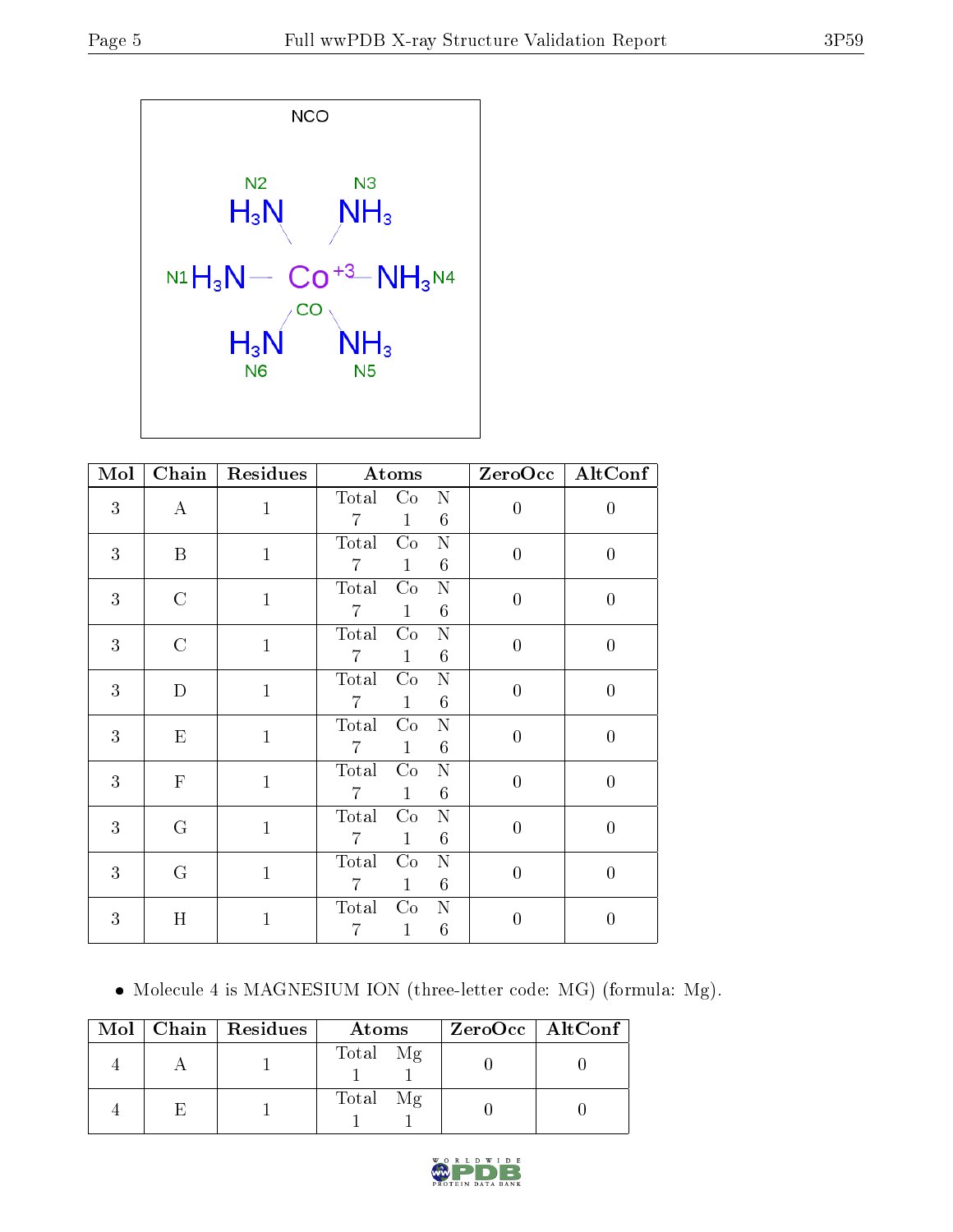

| Mol | $\overline{\text{Chain}}$ | Residues     | Atoms                                                             |                | ZeroOcc   AltConf |
|-----|---------------------------|--------------|-------------------------------------------------------------------|----------------|-------------------|
| 3   | $\bf{A}$                  | $\mathbf{1}$ | Total Co<br>N<br>6<br>7<br>$\mathbf{1}$                           | $\overline{0}$ | $\boldsymbol{0}$  |
| 3   | B                         | $\mathbf{1}$ | Total<br>Co<br>N<br>6<br>$\overline{7}$<br>$\mathbf{1}$           | $\overline{0}$ | $\overline{0}$    |
| 3   | $\mathcal{C}$             | $\mathbf{1}$ | $\mathbf N$<br>Total<br>Co<br>6<br>$\mathbf{1}$<br>$\overline{7}$ | $\overline{0}$ | $\overline{0}$    |
| 3   | $\mathcal{C}$             | $\mathbf{1}$ | Total<br>Co<br>N<br>6<br>$\overline{7}$<br>$\mathbf{1}$           | $\overline{0}$ | $\overline{0}$    |
| 3   | $\mathbf D$               | $\mathbf{1}$ | Co<br>$\mathbf N$<br>Total<br>6<br>$\overline{7}$<br>$\mathbf{1}$ | $\overline{0}$ | $\overline{0}$    |
| 3   | ${\rm E}$                 | $\mathbf{1}$ | Total<br>Co<br>N<br>6<br>$\overline{7}$<br>$\mathbf{1}$           | $\theta$       | $\overline{0}$    |
| 3   | $\mathbf F$               | $\mathbf{1}$ | $\mathbf N$<br>Total<br>Co<br>$\mathbf{1}$<br>6<br>$\overline{7}$ | $\overline{0}$ | $\overline{0}$    |
| 3   | G                         | $\mathbf{1}$ | Total<br>N<br>Co<br>$\mathbf{1}$<br>6<br>$\overline{7}$           | $\overline{0}$ | $\overline{0}$    |
| 3   | $\mathcal G$              | $\mathbf{1}$ | Total<br>Co<br>$\mathbf N$<br>$\overline{7}$<br>$\mathbf{1}$<br>6 | $\overline{0}$ | $\overline{0}$    |
| 3   | Η                         | $\mathbf{1}$ | Total<br>N<br>Co<br>$6\phantom{.}6$<br>7<br>1                     | 0              | 0                 |

Molecule 4 is MAGNESIUM ION (three-letter code: MG) (formula: Mg).

|  | Mol   Chain   Residues | Atoms    | ZeroOcc   AltConf |
|--|------------------------|----------|-------------------|
|  |                        | Total Mg |                   |
|  |                        | Total Mg |                   |

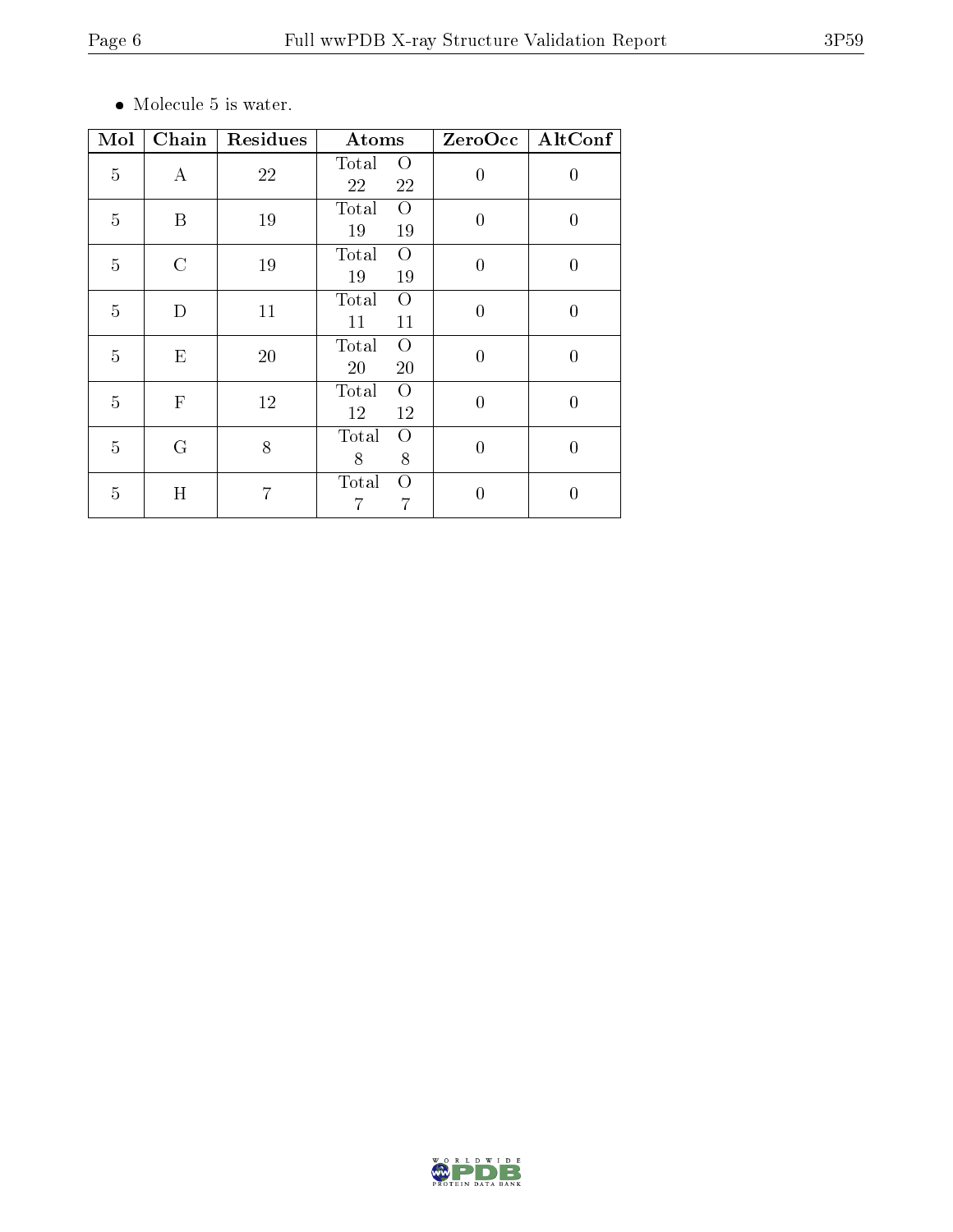$\bullet\,$  Molecule 5 is water.

| Mol            | $\overline{\text{Chain}}$ | Residues | Atoms                               | ZeroOcc        | AltConf          |
|----------------|---------------------------|----------|-------------------------------------|----------------|------------------|
| $\overline{5}$ | $\bf{A}$                  | 22       | Total<br>$\circ$<br>22<br>22        | $\overline{0}$ | 0                |
| $\overline{5}$ | B                         | 19       | Total<br>$\Omega$<br>19<br>19       | $\theta$       | 0                |
| $\overline{5}$ | $\rm C$                   | 19       | Total<br>$\overline{O}$<br>19<br>19 | $\theta$       | $\overline{0}$   |
| $\overline{5}$ | D                         | 11       | Total<br>O<br>11<br>11              | $\overline{0}$ | $\boldsymbol{0}$ |
| $\overline{5}$ | E                         | 20       | Total<br>$\overline{O}$<br>20<br>20 | $\theta$       | $\boldsymbol{0}$ |
| $\overline{5}$ | $\mathbf{F}$              | 12       | Total<br>$\overline{O}$<br>12<br>12 | $\overline{0}$ | $\overline{0}$   |
| $\overline{5}$ | G                         | 8        | Total<br>O<br>8<br>8                | $\overline{0}$ | $\boldsymbol{0}$ |
| $\overline{5}$ | H                         | 7        | Total<br>$\Omega$<br>7              | $\Omega$       | 0                |

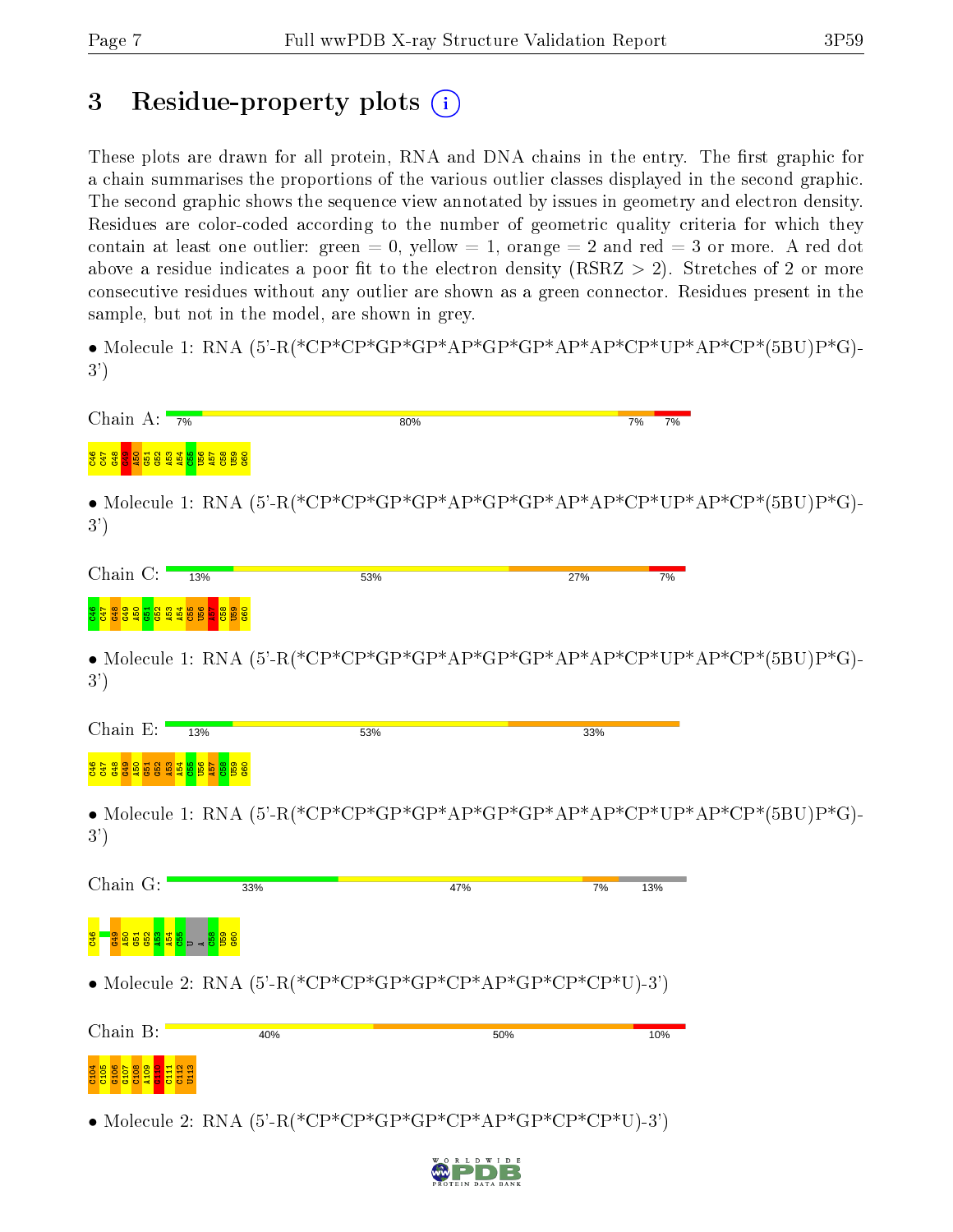## 3 Residue-property plots  $(i)$

These plots are drawn for all protein, RNA and DNA chains in the entry. The first graphic for a chain summarises the proportions of the various outlier classes displayed in the second graphic. The second graphic shows the sequence view annotated by issues in geometry and electron density. Residues are color-coded according to the number of geometric quality criteria for which they contain at least one outlier: green  $= 0$ , yellow  $= 1$ , orange  $= 2$  and red  $= 3$  or more. A red dot above a residue indicates a poor fit to the electron density (RSRZ  $> 2$ ). Stretches of 2 or more consecutive residues without any outlier are shown as a green connector. Residues present in the sample, but not in the model, are shown in grey.

• Molecule 1: RNA  $(5^{\circ}\text{-R}$  (\*CP\*CP\*GP\*GP\*AP\*GP\*AP\*AP\*CP\*UP\*AP\*CP\*(5BU)P\*G)-3')

| Chain A: $\frac{1}{7\%}$                                                      | 80%                                                                                                                                                                                                                                                                                                                                                                                                                                   |     | 7%        | 7%                                                                                                                                                                                                           |
|-------------------------------------------------------------------------------|---------------------------------------------------------------------------------------------------------------------------------------------------------------------------------------------------------------------------------------------------------------------------------------------------------------------------------------------------------------------------------------------------------------------------------------|-----|-----------|--------------------------------------------------------------------------------------------------------------------------------------------------------------------------------------------------------------|
| ទី <u>ទី និ និ ទី និ និ នី នី ត្រី ត្រី ទី ទី និ</u> និ                       |                                                                                                                                                                                                                                                                                                                                                                                                                                       |     |           |                                                                                                                                                                                                              |
| 3')                                                                           |                                                                                                                                                                                                                                                                                                                                                                                                                                       |     |           | • Molecule 1: RNA $(5^{\circ}\text{-R}(*\text{CP}^*\text{CP}^*\text{GP}^*\text{AP}^*\text{CP}^*\text{GP}^*\text{AP}^*\text{AP}^*\text{CP}^*\text{UP}^*\text{AP}^*\text{CP}^*(5\text{BU})\text{P}^*\text{G})$ |
| Chain $C:$<br>13%                                                             | 53%                                                                                                                                                                                                                                                                                                                                                                                                                                   |     | 27%       | 7%                                                                                                                                                                                                           |
| <mark>ទីក្នុងនិង្គ និន្ត កូន មិន</mark><br><mark>ទី ក្នុង និង ដូ</mark> ន និង |                                                                                                                                                                                                                                                                                                                                                                                                                                       |     |           |                                                                                                                                                                                                              |
| 3')                                                                           |                                                                                                                                                                                                                                                                                                                                                                                                                                       |     |           | • Molecule 1: RNA $(5^{\circ}\text{-R}(*\text{CP}^*\text{CP}^*\text{GP}^*\text{GP}^*\text{AP}^*\text{GP}^*\text{AP}^*\text{AP}^*\text{CP}^*\text{UP}^*\text{AP}^*\text{CP}^*(5\text{BU})\text{P}^*\text{G})$ |
| Chain E:<br>13%                                                               | 53%                                                                                                                                                                                                                                                                                                                                                                                                                                   |     | 33%       |                                                                                                                                                                                                              |
| <mark>ទី ទី ទី ទី ទី ទី ទី ទី</mark>                                          |                                                                                                                                                                                                                                                                                                                                                                                                                                       |     |           |                                                                                                                                                                                                              |
| 3')                                                                           |                                                                                                                                                                                                                                                                                                                                                                                                                                       |     |           | • Molecule 1: RNA $(5^{\circ}\text{-R}(*\text{CP}^*\text{CP}^*\text{GP}^*\text{AP}^*\text{CP}^*\text{GP}^*\text{AP}^*\text{AP}^*\text{CP}^*\text{UP}^*\text{AP}^*\text{CP}^*(5\text{BU})\text{P}^*\text{G})$ |
| Chain G:                                                                      | 33%                                                                                                                                                                                                                                                                                                                                                                                                                                   | 47% | 7%<br>13% |                                                                                                                                                                                                              |
| <mark>ិទ្ធិនីនីធិនី</mark> នី                                                 |                                                                                                                                                                                                                                                                                                                                                                                                                                       |     |           |                                                                                                                                                                                                              |
|                                                                               | • Molecule 2: RNA $(5^{\circ}$ -R(*CP*CP*GP*GP*CP*AP*GP*CP*CP*U)-3')                                                                                                                                                                                                                                                                                                                                                                  |     |           |                                                                                                                                                                                                              |
| Chain B:                                                                      | 40%                                                                                                                                                                                                                                                                                                                                                                                                                                   | 50% | 10%       |                                                                                                                                                                                                              |
|                                                                               |                                                                                                                                                                                                                                                                                                                                                                                                                                       |     |           |                                                                                                                                                                                                              |
|                                                                               | • Molecule 2: RNA $(5'-R(*\mathbf{CP*}\mathbf{CP*}\mathbf{GP*}\mathbf{GP*}\mathbf{CP*}\mathbf{CP*}\mathbf{CP*}\mathbf{CP*}\mathbf{CP*}\mathbf{CP*}\mathbf{CP*}\mathbf{CP*}\mathbf{CP*}\mathbf{CP*}\mathbf{CP*}\mathbf{CP*}\mathbf{CP*}\mathbf{CP*}\mathbf{CP*}\mathbf{CP*}\mathbf{CP*}\mathbf{CP*}\mathbf{CP*}\mathbf{CP*}\mathbf{CP*}\mathbf{CP*}\mathbf{CP*}\mathbf{CP*}\mathbf{CP*}\mathbf{CP*}\mathbf{CP*}\mathbf{CP*}\mathbf{CP$ |     |           |                                                                                                                                                                                                              |

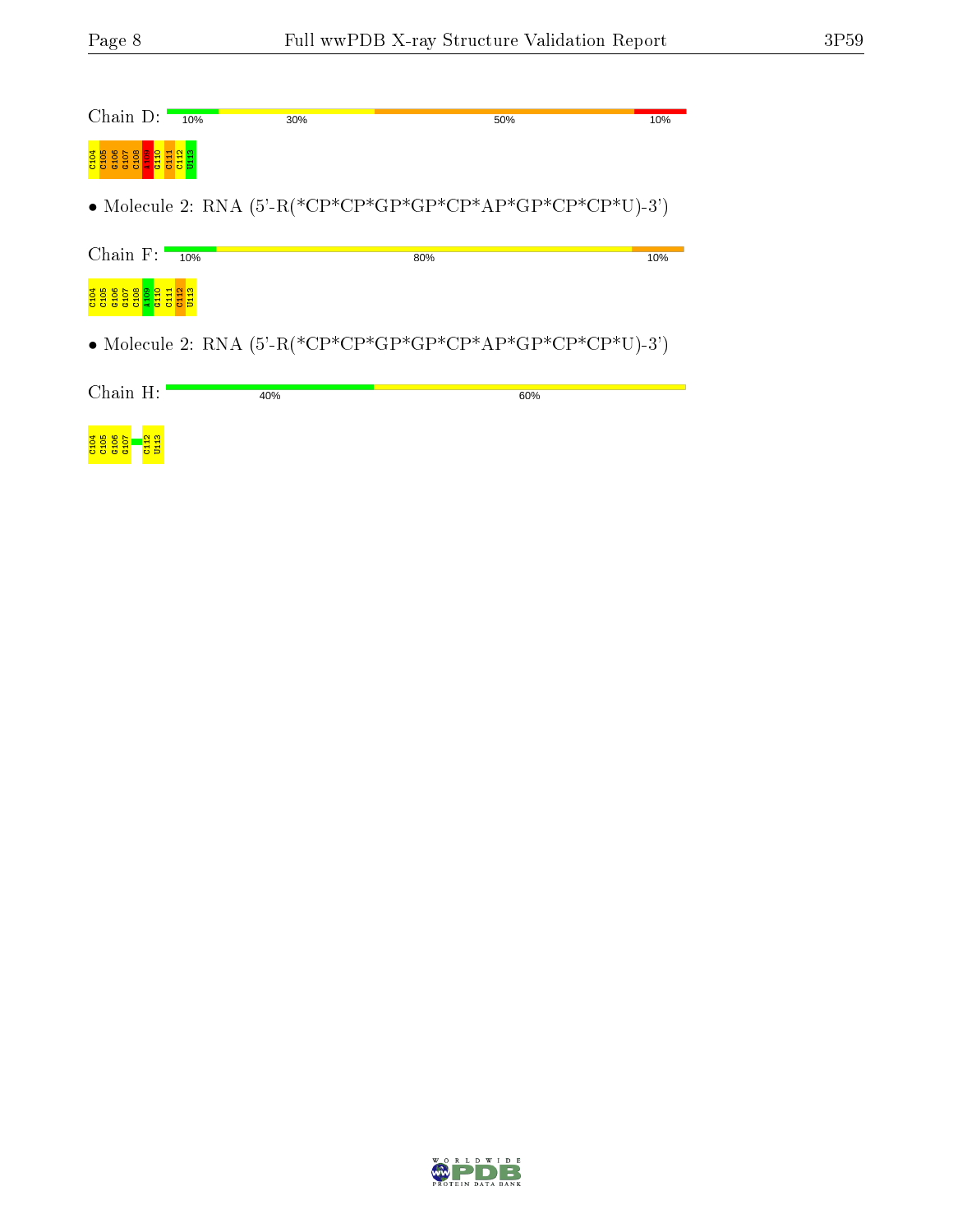<mark>g g g g – d g</mark><br><mark>g g g g – d g</mark>

| Chain $D:$ 10%                      |        | 30% | 50%                                                                  | 10% |
|-------------------------------------|--------|-----|----------------------------------------------------------------------|-----|
| es <mark>es</mark><br>G107<br>E     | t<br>居 |     |                                                                      |     |
|                                     |        |     |                                                                      |     |
| Chain $F$ :                         | 10%    |     | 80%                                                                  | 10% |
| $\frac{601}{200}$<br>$\frac{10}{7}$ |        |     |                                                                      |     |
|                                     |        |     | • Molecule 2: RNA $(5^{\circ}$ -R(*CP*CP*GP*GP*CP*AP*GP*CP*CP*U)-3') |     |
| Chain H:                            |        | 40% | 60%                                                                  |     |
|                                     |        |     |                                                                      |     |

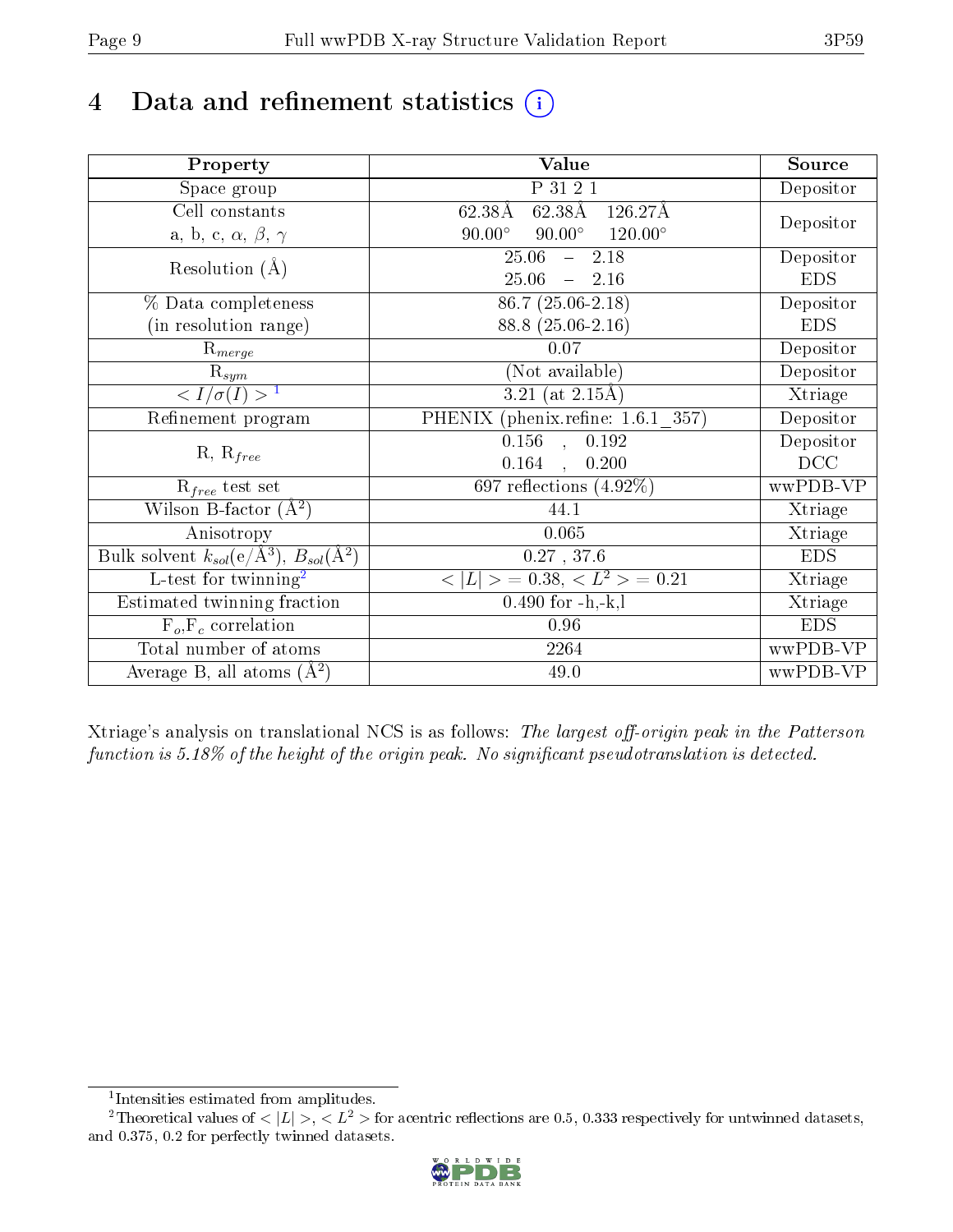# 4 Data and refinement statistics  $(i)$

| Property                                                             | Value                                            | Source     |  |
|----------------------------------------------------------------------|--------------------------------------------------|------------|--|
| Space group                                                          | P 31 2 1                                         | Depositor  |  |
| Cell constants                                                       | 62.38Å<br>62.38Å<br>126.27Å                      |            |  |
| a, b, c, $\alpha$ , $\beta$ , $\gamma$                               | $90.00^\circ$<br>$120.00^\circ$<br>$90.00^\circ$ | Depositor  |  |
| Resolution $(A)$                                                     | 25.06<br>$-2.18$                                 | Depositor  |  |
|                                                                      | $25.06 = 2.16$                                   | <b>EDS</b> |  |
| % Data completeness                                                  | $86.7(25.06-2.18)$                               | Depositor  |  |
| (in resolution range)                                                | 88.8 (25.06-2.16)                                | <b>EDS</b> |  |
| $R_{merge}$                                                          | 0.07                                             | Depositor  |  |
| $\mathrm{R}_{sym}$                                                   | (Not available)                                  | Depositor  |  |
| $\sqrt{I/\sigma(I)} > 1$                                             | 3.21 (at $2.15\text{\AA}$ )                      | Xtriage    |  |
| Refinement program                                                   | PHENIX (phenix.refine: 1.6.1 357)                | Depositor  |  |
|                                                                      | $\overline{0.156}$ ,<br>0.192                    | Depositor  |  |
| $R, R_{free}$                                                        | 0.164<br>0.200<br>$\mathcal{L}$                  | DCC        |  |
| $\mathcal{R}_{free}$ test set                                        | 697 reflections $(4.92\%)$                       | wwPDB-VP   |  |
| Wilson B-factor $(A^2)$                                              | 44.1                                             | Xtriage    |  |
| Anisotropy                                                           | 0.065                                            | Xtriage    |  |
| Bulk solvent $k_{sol}(e/\mathring{A}^3)$ , $B_{sol}(\mathring{A}^2)$ | $0.27$ , 37.6                                    | <b>EDS</b> |  |
| L-test for twinning <sup>2</sup>                                     | $< L >$ = 0.38, $< L2 >$ = 0.21                  | Xtriage    |  |
| Estimated twinning fraction                                          | $0.490$ for $-h,-k,l$                            | Xtriage    |  |
| $F_o, F_c$ correlation                                               | 0.96                                             | <b>EDS</b> |  |
| Total number of atoms                                                | 2264                                             | wwPDB-VP   |  |
| Average B, all atoms $(A^2)$                                         | 49.0                                             | wwPDB-VP   |  |

Xtriage's analysis on translational NCS is as follows: The largest off-origin peak in the Patterson function is  $5.18\%$  of the height of the origin peak. No significant pseudotranslation is detected.

<sup>&</sup>lt;sup>2</sup>Theoretical values of  $\langle |L| \rangle$ ,  $\langle L^2 \rangle$  for acentric reflections are 0.5, 0.333 respectively for untwinned datasets, and 0.375, 0.2 for perfectly twinned datasets.



<span id="page-8-1"></span><span id="page-8-0"></span><sup>1</sup> Intensities estimated from amplitudes.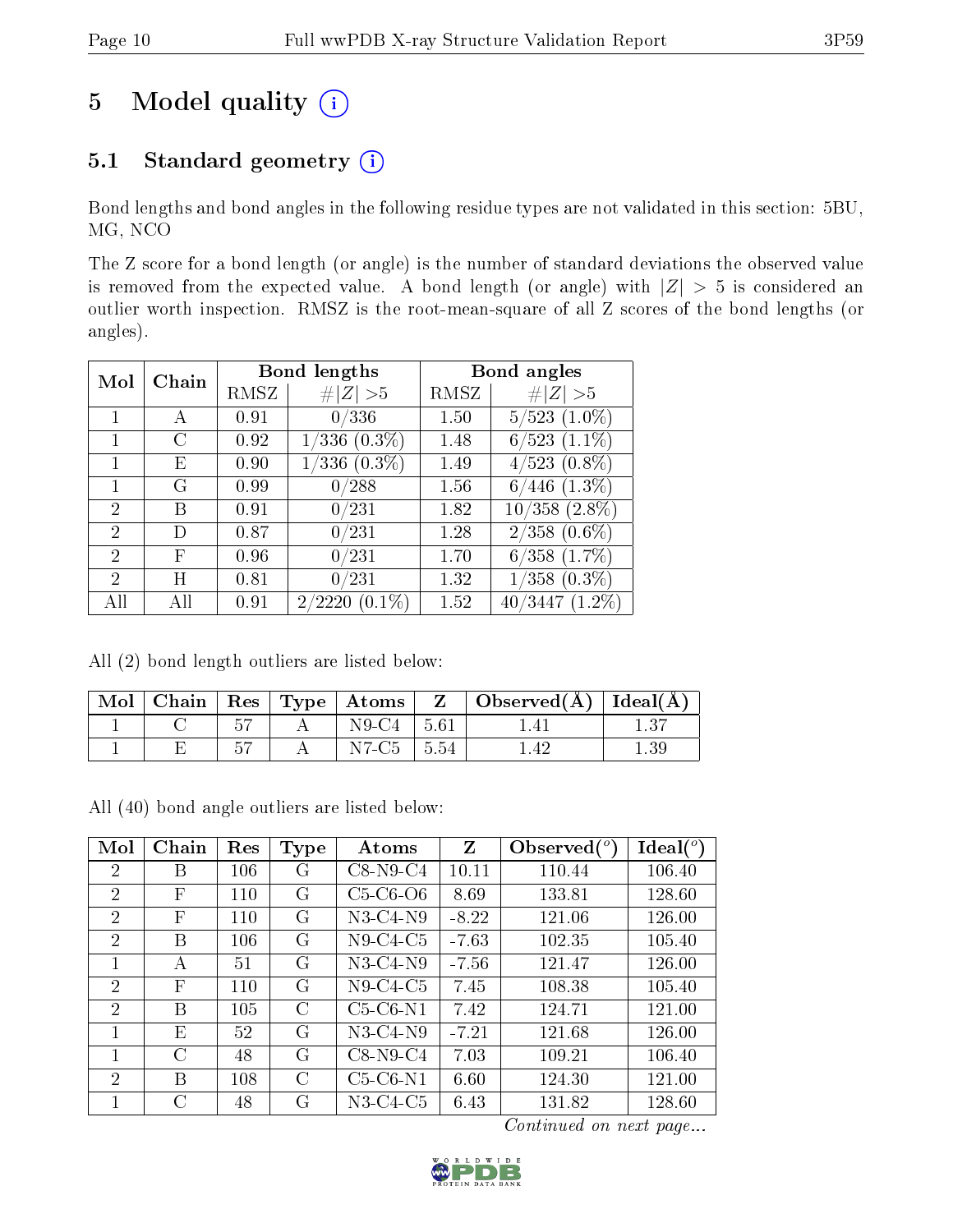# 5 Model quality  $(i)$

## 5.1 Standard geometry (i)

Bond lengths and bond angles in the following residue types are not validated in this section: 5BU, MG, NCO

The Z score for a bond length (or angle) is the number of standard deviations the observed value is removed from the expected value. A bond length (or angle) with  $|Z| > 5$  is considered an outlier worth inspection. RMSZ is the root-mean-square of all Z scores of the bond lengths (or angles).

| Chain<br>Mol   |    |      | Bond lengths                           | Bond angles |                    |
|----------------|----|------|----------------------------------------|-------------|--------------------|
|                |    | RMSZ | Z   > 5                                | RMSZ        | # $ Z  > 5$        |
|                | А  | 0.91 | 0/336                                  | 1.50        | $5/523$ $(1.0\%)$  |
| 1              | G  | 0.92 | $1/336(0.3\%)$                         | 1.48        | $6/523$ $(1.1\%)$  |
|                | E, | 0.90 | $(0.3\%)$                              | 1.49        | $4/523$ $(0.8\%)$  |
|                | G  | 0.99 | 0/288                                  | 1.56        | $(1.3\%)$<br>6/    |
| 2              | В  | 0.91 | 0/231                                  | 1.82        | $10/358$ $(2.8\%)$ |
| 2              | D) | 0.87 | 0/231                                  | 1.28        | $2/358$ $(0.6\%)$  |
| 2              | F  | 0.96 | 0/231                                  | 1.70        | $6/358$ $(1.7\%)$  |
| $\mathfrak{D}$ | H  | 0.81 | /231<br>$0_{\scriptscriptstyle \perp}$ | 1.32        | $1/358$ $(0.3\%)$  |
| All            | ΑH | 0.91 | $(0.1\%)$<br>2/2220                    | 1.52        | $40/3447(1.2\%)$   |

All (2) bond length outliers are listed below:

| ` Mol |  |                | Chain   Res   Type   Atoms   $Z$   Observed( $A$ )   Ideal( $A$ ) |      |
|-------|--|----------------|-------------------------------------------------------------------|------|
|       |  | $N9-C4$   5.61 |                                                                   | 1.37 |
|       |  | $N7-C5$   5.54 |                                                                   |      |

All (40) bond angle outliers are listed below:

| Mol            | Chain     | Res | Type      | Atoms      | Z       | Observed $(°)$ | Ideal $(°)$ |
|----------------|-----------|-----|-----------|------------|---------|----------------|-------------|
| 2              | В         | 106 | G         | $C8-N9-C4$ | 10.11   | 110.44         | 106.40      |
| $\overline{2}$ | F         | 110 | G         | $C5-C6-O6$ | 8.69    | 133.81         | 128.60      |
| $\overline{2}$ | F         | 110 | G         | $N3-C4-N9$ | $-8.22$ | 121.06         | 126.00      |
| 2              | В         | 106 | G         | $N9-C4-C5$ | $-7.63$ | 102.35         | 105.40      |
| 1              | A         | 51  | G         | N3-C4-N9   | $-7.56$ | 121.47         | 126.00      |
| $\overline{2}$ | F         | 110 | G         | $N9-C4-C5$ | 7.45    | 108.38         | 105.40      |
| $\overline{2}$ | В         | 105 | $\rm C$   | $C5-C6-N1$ | 7.42    | 124.71         | 121.00      |
| 1              | E         | 52  | G         | $N3-C4-N9$ | $-7.21$ | 121.68         | 126.00      |
| 1              | $\bigcap$ | 48  | G         | $C8-N9-C4$ | 7.03    | 109.21         | 106.40      |
| $\mathfrak{D}$ | В         | 108 | $\bigcap$ | $C5-C6-N1$ | 6.60    | 124.30         | 121.00      |
| 1              |           | 48  | G         | N3-C4-C5   | 6.43    | 131.82         | 128.60      |

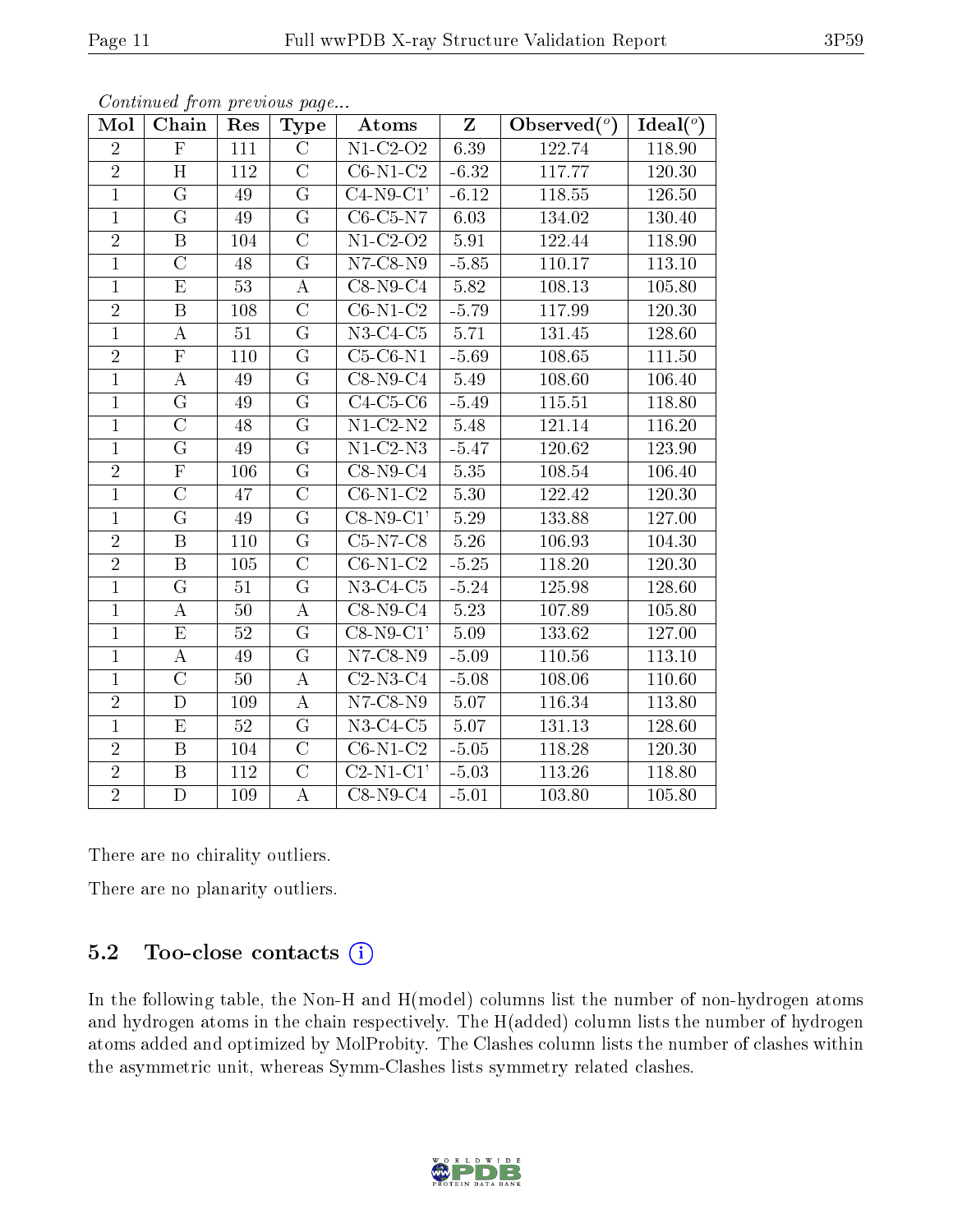| Mol            | Chain                   | Res | <b>Type</b>        | Atoms                         | $Z_{\parallel}$ | Observed $(°)$ | Ideal $(°)$ |
|----------------|-------------------------|-----|--------------------|-------------------------------|-----------------|----------------|-------------|
| $\overline{2}$ | $\overline{\mathrm{F}}$ | 111 | $\overline{C}$     | $\overline{\text{N1-C2-O2}}$  | 6.39            | 122.74         | 118.90      |
| $\overline{2}$ | H                       | 112 | $\overline{C}$     | $C6-N1-C2$                    | $-6.32$         | 117.77         | 120.30      |
| $\overline{1}$ | $\overline{G}$          | 49  | $\overline{G}$     | $C4-N9-C1'$                   | $-6.12$         | 118.55         | 126.50      |
| $\mathbf{1}$   | G                       | 49  | G                  | $C6-C5-N7$                    | 6.03            | 134.02         | 130.40      |
| $\overline{2}$ | $\overline{\mathrm{B}}$ | 104 | $\overline{\rm C}$ | $\overline{\text{N1-C2-O2}}$  | 5.91            | 122.44         | 118.90      |
| $\overline{1}$ | $\mathcal{C}$           | 48  | G                  | $N7$ -C8- $N9$                | $-5.85$         | 110.17         | 113.10      |
| $\mathbf{1}$   | $\overline{\mathrm{E}}$ | 53  | $\bf{A}$           | $C8-N9-C4$                    | 5.82            | 108.13         | 105.80      |
| $\overline{2}$ | $\overline{B}$          | 108 | $\overline{\rm C}$ | $C6-N1-C2$                    | $-5.79$         | 117.99         | 120.30      |
| $\mathbf{1}$   | $\bf{A}$                | 51  | G                  | $N3-C4-C5$                    | 5.71            | 131.45         | 128.60      |
| $\overline{2}$ | $\overline{\mathrm{F}}$ | 110 | $\overline{G}$     | $C5-C6-N1$                    | $-5.69$         | 108.65         | 111.50      |
| $\mathbf{1}$   | $\bf{A}$                | 49  | G                  | $C8-N9-C4$                    | 5.49            | 108.60         | 106.40      |
| $\overline{1}$ | $\overline{\mathrm{G}}$ | 49  | $\overline{G}$     | $C4-C5-C6$                    | $-5.49$         | 115.51         | 118.80      |
| $\mathbf{1}$   | $\overline{C}$          | 48  | $\overline{G}$     | $N1-C2-N2$                    | 5.48            | 121.14         | 116.20      |
| $\mathbf{1}$   | $\overline{\mathrm{G}}$ | 49  | G                  | $\overline{\text{N1-C}}$ 2-N3 | $-5.47$         | 120.62         | 123.90      |
| $\overline{2}$ | $\overline{\mathrm{F}}$ | 106 | $\overline{G}$     | $C8-N9-C4$                    | 5.35            | 108.54         | 106.40      |
| $\mathbf{1}$   | $\overline{\rm C}$      | 47  | $\overline{\rm C}$ | $C6-N1-C2$                    | 5.30            | 122.42         | 120.30      |
| $\mathbf{1}$   | $\overline{G}$          | 49  | $\overline{G}$     | $C8-N9-C1'$                   | 5.29            | 133.88         | 127.00      |
| $\overline{2}$ | $\, {\bf B}$            | 110 | G                  | $C5-N7-C8$                    | 5.26            | 106.93         | 104.30      |
| $\overline{2}$ | $\overline{B}$          | 105 | $\overline{\rm C}$ | $C6-N1-C2$                    | $-5.25$         | 118.20         | 120.30      |
| $\overline{1}$ | $\overline{G}$          | 51  | $\overline{G}$     | $N3-C4-C5$                    | $-5.24$         | 125.98         | 128.60      |
| $\mathbf{1}$   | A                       | 50  | A                  | $C8-N9-C4$                    | 5.23            | 107.89         | 105.80      |
| $\mathbf{1}$   | $\overline{\mathrm{E}}$ | 52  | G                  | $\overline{\text{C8-N9-C1}}$  | 5.09            | 133.62         | 127.00      |
| $\mathbf{1}$   | А                       | 49  | G                  | $\overline{\text{N}}$ 7-C8-N9 | $-5.09$         | 110.56         | 113.10      |
| $\mathbf{1}$   | $\overline{\rm C}$      | 50  | $\bf{A}$           | $C2-N3-C4$                    | $-5.08$         | 108.06         | 110.60      |
| $\overline{2}$ | $\mathbf D$             | 109 | A                  | $N7$ -C8- $N9$                | $5.07\,$        | 116.34         | 113.80      |
| $\mathbf{1}$   | E                       | 52  | G                  | $N3-C4-C5$                    | 5.07            | 131.13         | 128.60      |
| $\overline{2}$ | $\overline{\mathbf{B}}$ | 104 | $\overline{\rm C}$ | $C6-N1-C2$                    | $-5.05$         | 118.28         | 120.30      |
| $\overline{2}$ | $\overline{B}$          | 112 | $\overline{\rm C}$ | $C2-N1-C1'$                   | $-5.03$         | 113.26         | 118.80      |
| $\overline{2}$ | $\overline{\rm D}$      | 109 | $\boldsymbol{A}$   | $C8-N9-C4$                    | $-5.01$         | 103.80         | 105.80      |

Continued from previous page...

There are no chirality outliers.

There are no planarity outliers.

### 5.2 Too-close contacts (i)

In the following table, the Non-H and H(model) columns list the number of non-hydrogen atoms and hydrogen atoms in the chain respectively. The H(added) column lists the number of hydrogen atoms added and optimized by MolProbity. The Clashes column lists the number of clashes within the asymmetric unit, whereas Symm-Clashes lists symmetry related clashes.

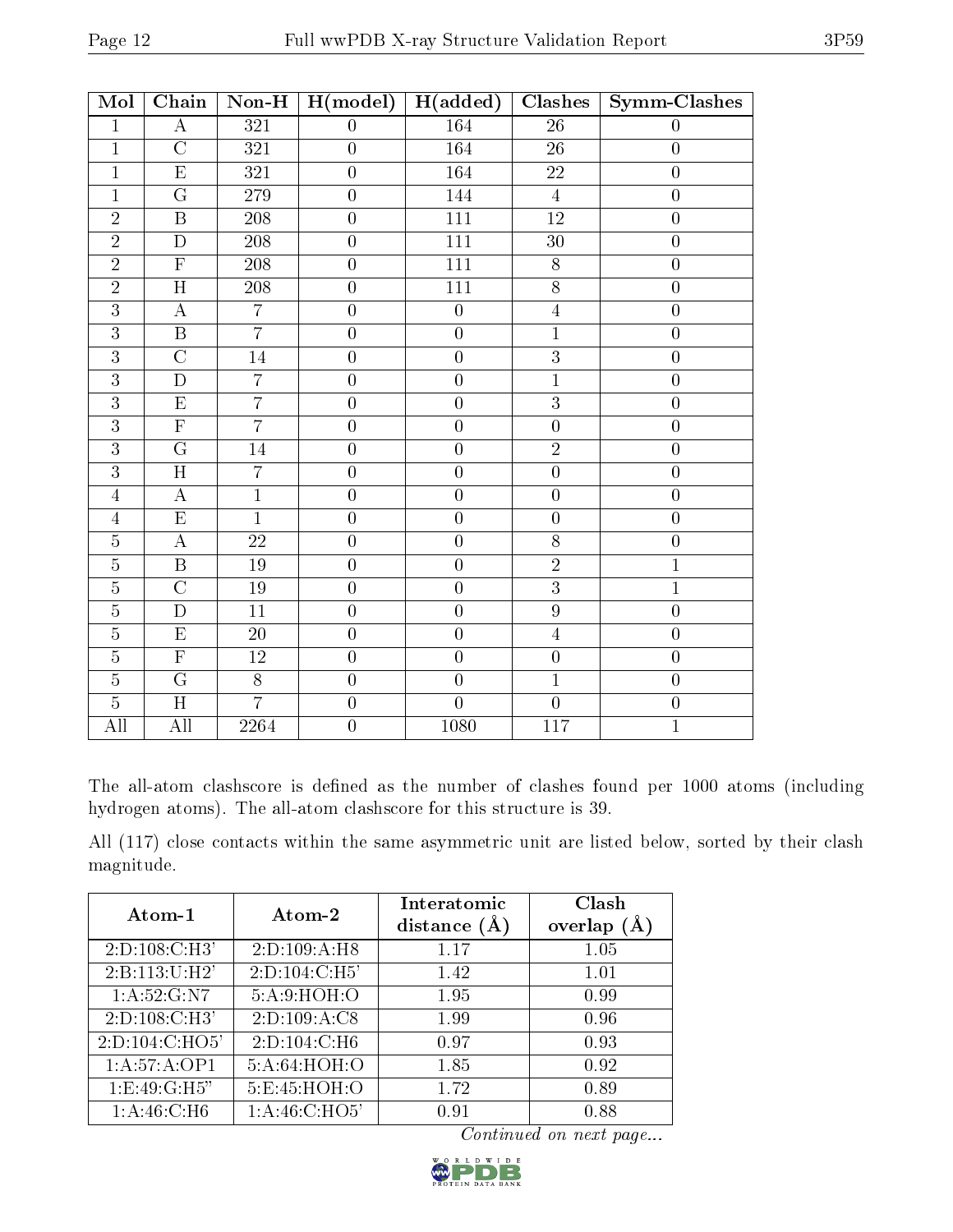| Mol            | Chain                   | $Non-H$          | H (model)        | H(added)         | Clashes          | <b>Symm-Clashes</b> |
|----------------|-------------------------|------------------|------------------|------------------|------------------|---------------------|
| $\mathbf{1}$   | $\boldsymbol{A}$        | $\overline{321}$ | $\boldsymbol{0}$ | 164              | $\overline{26}$  | $\boldsymbol{0}$    |
| $\mathbf 1$    | $\overline{C}$          | 321              | $\boldsymbol{0}$ | 164              | 26               | $\boldsymbol{0}$    |
| $\mathbf{1}$   | $\overline{E}$          | 321              | $\overline{0}$   | 164              | $22\,$           | $\overline{0}$      |
| $\overline{1}$ | $\overline{G}$          | <b>279</b>       | $\overline{0}$   | 144              | $\overline{4}$   | $\overline{0}$      |
| $\overline{2}$ | $\, {\bf B}$            | 208              | $\boldsymbol{0}$ | 111              | 12               | $\boldsymbol{0}$    |
| $\overline{2}$ | $\overline{\rm D}$      | $208\,$          | $\overline{0}$   | $\overline{111}$ | $\overline{30}$  | $\boldsymbol{0}$    |
| $\overline{2}$ | $\overline{\mathrm{F}}$ | 208              | $\boldsymbol{0}$ | 111              | $8\,$            | $\boldsymbol{0}$    |
| $\overline{2}$ | H                       | 208              | $\overline{0}$   | 111              | 8                | $\overline{0}$      |
| $\overline{3}$ | $\bf{A}$                | $\overline{7}$   | $\overline{0}$   | $\overline{0}$   | $\overline{4}$   | $\overline{0}$      |
| $\overline{3}$ | $\overline{\mathbf{B}}$ | $\overline{7}$   | $\boldsymbol{0}$ | $\overline{0}$   | $\overline{1}$   | $\boldsymbol{0}$    |
| $\overline{3}$ | $\overline{\rm C}$      | $\overline{14}$  | $\overline{0}$   | $\overline{0}$   | $\overline{3}$   | $\boldsymbol{0}$    |
| $\overline{3}$ | $\mathbf{D}$            | $\overline{7}$   | $\boldsymbol{0}$ | $\overline{0}$   | $\overline{1}$   | $\boldsymbol{0}$    |
| $\overline{3}$ | ${\rm E}$               | $\overline{7}$   | $\overline{0}$   | $\overline{0}$   | $\overline{3}$   | $\overline{0}$      |
| $\overline{3}$ | $\overline{F}$          | $\overline{7}$   | $\boldsymbol{0}$ | $\overline{0}$   | $\overline{0}$   | $\boldsymbol{0}$    |
| $\overline{3}$ | $\overline{\mathrm{G}}$ | 14               | $\overline{0}$   | $\overline{0}$   | $\overline{2}$   | $\boldsymbol{0}$    |
| $\overline{3}$ | $\overline{H}$          | $\overline{7}$   | $\overline{0}$   | $\overline{0}$   | $\overline{0}$   | $\boldsymbol{0}$    |
| $\overline{4}$ | $\boldsymbol{A}$        | $\mathbf{1}$     | $\boldsymbol{0}$ | $\overline{0}$   | $\boldsymbol{0}$ | $\boldsymbol{0}$    |
| $\overline{4}$ | $\overline{\mathrm{E}}$ | $\overline{1}$   | $\overline{0}$   | $\overline{0}$   | $\overline{0}$   | $\overline{0}$      |
| $\overline{5}$ | $\bf{A}$                | $\overline{22}$  | $\overline{0}$   | $\overline{0}$   | $\overline{8}$   | $\overline{0}$      |
| $\overline{5}$ | $\, {\bf B}$            | 19               | $\boldsymbol{0}$ | $\overline{0}$   | $\overline{2}$   | $\mathbf{1}$        |
| $\overline{5}$ | $\overline{\rm C}$      | $19\,$           | $\boldsymbol{0}$ | $\overline{0}$   | $\overline{3}$   | $\mathbf{1}$        |
| $\overline{5}$ | $\mathbf D$             | 11               | $\overline{0}$   | $\overline{0}$   | $\overline{9}$   | $\boldsymbol{0}$    |
| $\overline{5}$ | $\overline{\mathrm{E}}$ | $\overline{20}$  | $\overline{0}$   | $\overline{0}$   | $\overline{4}$   | $\overline{0}$      |
| $\overline{5}$ | $\overline{F}$          | $12\,$           | $\overline{0}$   | $\overline{0}$   | $\boldsymbol{0}$ | $\boldsymbol{0}$    |
| $\overline{5}$ | $\overline{\mathrm{G}}$ | $\overline{8}$   | $\boldsymbol{0}$ | $\boldsymbol{0}$ | $\mathbf{1}$     | $\boldsymbol{0}$    |
| $\overline{5}$ | $\overline{H}$          | $\overline{7}$   | $\boldsymbol{0}$ | $\overline{0}$   | $\overline{0}$   | $\boldsymbol{0}$    |
| All            | All                     | 2264             | $\overline{0}$   | 1080             | 117              | $\mathbf{1}$        |

The all-atom clashscore is defined as the number of clashes found per 1000 atoms (including hydrogen atoms). The all-atom clashscore for this structure is 39.

All (117) close contacts within the same asymmetric unit are listed below, sorted by their clash magnitude.

| Atom-1                   | Atom-2            | Interatomic    | Clash         |
|--------------------------|-------------------|----------------|---------------|
|                          |                   | distance $(A)$ | overlap $(A)$ |
| 2: D: 108: C: H3'        | 2: D: 109: A: H8  | 1.17           | 1.05          |
| 2:B:113:U:H2'            | 2: D: 104: C: H5' | 1.42           | 1.01          |
| $1:A:52:G:\overline{N7}$ | 5:A:9:HOH:O       | 1.95           | 0.99          |
| 2: D: 108: C:H3'         | 2: D: 109: A: C8  | 1.99           | 0.96          |
| 2:D:104:C:HO5'           | 2: D: 104: C: H6  | 0.97           | 0.93          |
| 1:A:57:A:OP1             | 5:A:64:HOH:O      | 1.85           | 0.92          |
| 1:E:49:G:H5"             | 5:E:45:HOH:O      | 1.72           | 0.89          |
| 1: A:46: C:H6            | 1:A:46:C:HO5'     | 0.91           | 0.88          |

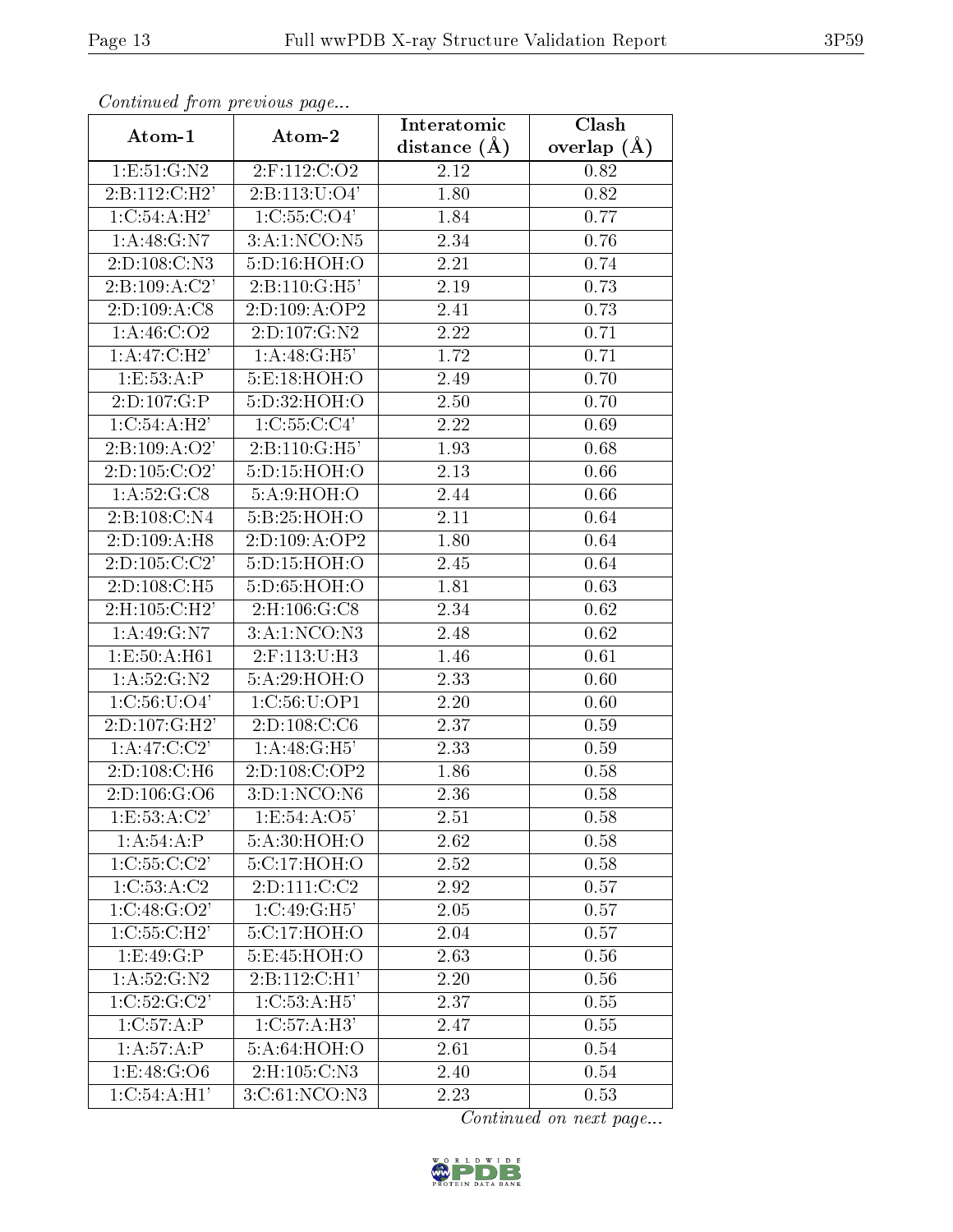| Continuati pont previous page<br>Atom-1 | Atom-2            | Interatomic       | Clash             |
|-----------------------------------------|-------------------|-------------------|-------------------|
|                                         |                   | distance $(A)$    | overlap $(A)$     |
| 1:E:51:G:N2                             | 2:F:112:C:O2      | 2.12              | 0.82              |
| $2:B:112:C:\overline{H2'}$              | 2: B: 113: U: O4' | 1.80              | 0.82              |
| 1:C:54:A:H2'                            | 1: C: 55: C: O4'  | 1.84              | 0.77              |
| 1: A:48: G: N7                          | 3:A:1:NCO:N5      | 2.34              | 0.76              |
| 2:D:108:C:N3                            | 5:D:16:HOH:O      | 2.21              | 0.74              |
| 2: B: 109: A: C2'                       | 2: B: 110: G: H5' | 2.19              | 0.73              |
| 2:D:109:A:C8                            | 2:D:109:A:OP2     | 2.41              | 0.73              |
| 1: A: 46: C: O2                         | 2:D:107:G:N2      | 2.22              | 0.71              |
| 1: A:47: C:H2'                          | 1: A:48: G:H5'    | 1.72              | 0.71              |
| 1:E:53:A:P                              | 5:E:18:HOH:O      | 2.49              | 0.70              |
| 2:D:107:G:P                             | 5:D:32:HOH:O      | 2.50              | 0.70              |
| 1:C:54:A:H2'                            | 1:C:55:C:C4'      | $\overline{2.22}$ | 0.69              |
| 2: B: 109: A: O2'                       | $2:B:110:$ G:H5'  | 1.93              | 0.68              |
| 2: D: 105: C: O2'                       | 5:D:15:HOH:O      | 2.13              | 0.66              |
| 1: A:52: G:CS                           | 5:A:9:HOH:O       | 2.44              | 0.66              |
| 2:B:108:C:N4                            | 5:B:25:HOH:O      | 2.11              | 0.64              |
| 2:D:109:A:H8                            | 2:D:109:A:OP2     | 1.80              | 0.64              |
| 2:D:105:C:C2'                           | 5:D:15:HOH:O      | 2.45              | 0.64              |
| 2:D:108:C:H5                            | 5:D:65:HOH:O      | 1.81              | 0.63              |
| 2: H: 105: C: H2'                       | 2: H: 106: G: C8  | 2.34              | 0.62              |
| 1: A:49: G: N7                          | 3:A:1:NCO:N3      | 2.48              | 0.62              |
| 1: E: 50: A: H61                        | 2:F:113:U:H3      | 1.46              | 0.61              |
| 1: A: 52: G: N2                         | 5:A:29:HOH:O      | 2.33              | 0.60              |
| 1: C: 56: U: O4'                        | 1:C:56:U:OP1      | 2.20              | 0.60              |
| 2:D:107:G:H2'                           | 2: D: 108: C: C6  | 2.37              | 0.59              |
| 1: A: 47: C: C2'                        | 1: A:48: G:H5'    | 2.33              | 0.59              |
| 2:D:108:C:H6                            | 2:D:108:C:OP2     | 1.86              | 0.58              |
| 2: D: 106: G: O6                        | 3: D: 1: NCO: N6  | 2.36              | $\overline{0.58}$ |
| 1: E: 53: A: C2'                        | 1: E: 54: A: O5'  | 2.51              | 0.58              |
| 1:A:54:A:P                              | 5:A:30:HOH:O      | 2.62              | 0.58              |
| 1:C:55:C:C2'                            | 5: C:17:HOH:O     | 2.52              | 0.58              |
| 1:C:53:A:C2                             | 2: D: 111:C: C2   | 2.92              | 0.57              |
| 1:C:48:G:O2'                            | 1:C:49:G:H5'      | 2.05              | 0.57              |
| 1:C:55:C:H2'                            | 5:C:17:HOH:O      | 2.04              | 0.57              |
| 1:E:49:G:P                              | 5:E:45:HOH:O      | 2.63              | 0.56              |
| 1: A: 52: G: N2                         | 2: B: 112: C: H1' | $2.\overline{20}$ | 0.56              |
| 1:C:52:G:C2'                            | 1:C:53:A:H5'      | 2.37              | 0.55              |
| 1:C:57:A:P                              | 1:C:57:A:H3'      | 2.47              | 0.55              |
| 1: A:57:A:P                             | 5:A:64:HOH:O      | 2.61              | 0.54              |
| 1:E:48:G:O6                             | 2:H:105:C:N3      | 2.40              | 0.54              |
| 1:C:54:A:H1'                            | 3:C:61:NCO:N3     | 2.23              | 0.53              |

Continued from previous page.

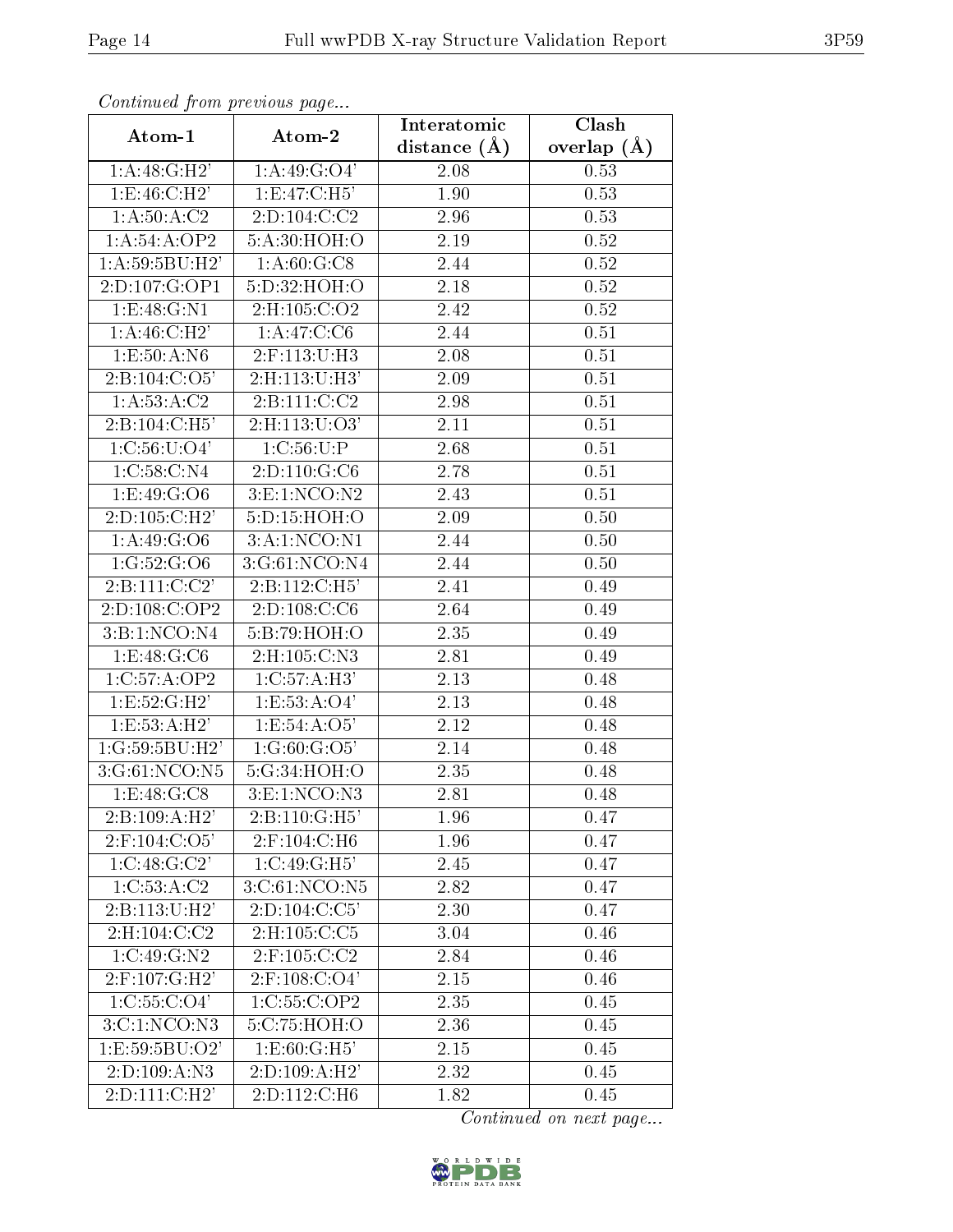| Continuea from previous page |                          | Interatomic    | Clash         |
|------------------------------|--------------------------|----------------|---------------|
| Atom-1                       | Atom-2                   | distance $(A)$ | overlap $(A)$ |
| 1:A:48:G:H2'                 | 1:A:49:G:O4'             | 2.08           | 0.53          |
| 1: E: 46: C: H2'             | 1: E:47: C:H5'           | 1.90           | 0.53          |
| 1: A: 50: A: C2              | 2:D:104:C:C2             | 2.96           | 0.53          |
| 1:A:54:A:OP2                 | 5:A:30:HOH:O             | 2.19           | 0.52          |
| 1:A:59:5BU:H2'               | 1: A:60: G: C8           | 2.44           | 0.52          |
| 2:D:107:G:OP1                | 5:D:32:HOH:O             | 2.18           | 0.52          |
| 1: E: 48: G: N1              | 2: H: 105: C: O2         | 2.42           | 0.52          |
| $1:A:46:C:\overline{H2'}$    | 1: A:47: C: C6           | 2.44           | 0.51          |
| 1: E: 50: A: N6              | 2:F:113:U:H3             | 2.08           | 0.51          |
| 2:B:104:C:O5'                | 2: H: 113: U:H3'         | 2.09           | 0.51          |
| 1: A: 53: A: C2              | 2:B:111:C:C2             | 2.98           | 0.51          |
| 2: B: 104: C: H5'            | $2:$ H $:113:$ U $:$ O3' | 2.11           | 0.51          |
| 1:C:56:U:O4'                 | 1:C:56:U:P               | 2.68           | 0.51          |
| 1:C:58:C:N4                  | 2:D:110:G:C6             | 2.78           | 0.51          |
| 1:E:49:G:O6                  | 3:1:NCO:N2               | 2.43           | 0.51          |
| 2:D:105:C:H2'                | 5:D:15:HOH:O             | 2.09           | 0.50          |
| 1: A:49: G:O6                | 3:A:1:NCO:N1             | 2.44           | 0.50          |
| 1:G:52:G:O6                  | 3:G:61:NCO:N4            | 2.44           | 0.50          |
| 2: B: 111:C:C2'              | 2: B: 112: C: H5'        | 2.41           | 0.49          |
| 2:D:108:C:OP2                | 2: D: 108: C: C6         | 2.64           | 0.49          |
| 3:B:1:NCO:N4                 | 5:B:79:HOH:O             | 2.35           | 0.49          |
| 1: E: 48: G: C6              | 2:H:105:C:N3             | 2.81           | 0.49          |
| 1:C:57:A:OP2                 | 1:C:57:A:H3'             | 2.13           | 0.48          |
| 1:E:52:G:H2'                 | 1: E: 53: A: O4'         | 2.13           | 0.48          |
| 1: E: 53: A: H2'             | 1: E: 54: A: O5'         | 2.12           | 0.48          |
| 1:G:59:5BU:H2'               | 1:G:60:G:O5'             | 2.14           | 0.48          |
| 3:G:61:NCO:N5                | 5:G:34:HOH:O             | 2.35           | 0.48          |
| 1: E:48: G: C8               | 3: E: 1: NCO: N3         | 2.81           | 0.48          |
| 2: B: 109:A:H2'              | 2:B:110:G:H5'            | 1.96           | 0.47          |
| $2:$ F:104:C:O5'             | 2:F:104:C:H6             | 1.96           | 0.47          |
| 1:C:48:G:C2'                 | 1:C:49:G:H5'             | 2.45           | 0.47          |
| 1:C:53:A:C2                  | 3:C:61:NCO:N5            | 2.82           | 0.47          |
| 2: B: 113: U:H2'             | 2: D: 104: C: C5'        | 2.30           | 0.47          |
| 2:H:104:C:C2                 | 2:H:105:C:C5             | 3.04           | 0.46          |
| 1:C:49:G:N2                  | $2:$ F:105:C:C2          | 2.84           | 0.46          |
| $2:$ F:107:G:H2'             | $2:$ F:108:C:O4'         | 2.15           | 0.46          |
| 1: C: 55: C: O4'             | 1:C:55:C:OP2             | 2.35           | 0.45          |
| 3:C:1:NCO:N3                 | 5:C:75:HOH:O             | 2.36           | 0.45          |
| 1:E:59:5BU:O2'               | 1: E: 60: G: H5'         | 2.15           | 0.45          |
| 2:D:109:A:N3                 | 2:D:109:A:H2'            | 2.32           | 0.45          |
| 2: D: 111:C:H2'              | 2:D:112:C:H6             | 1.82           | 0.45          |

Continued from previous page.

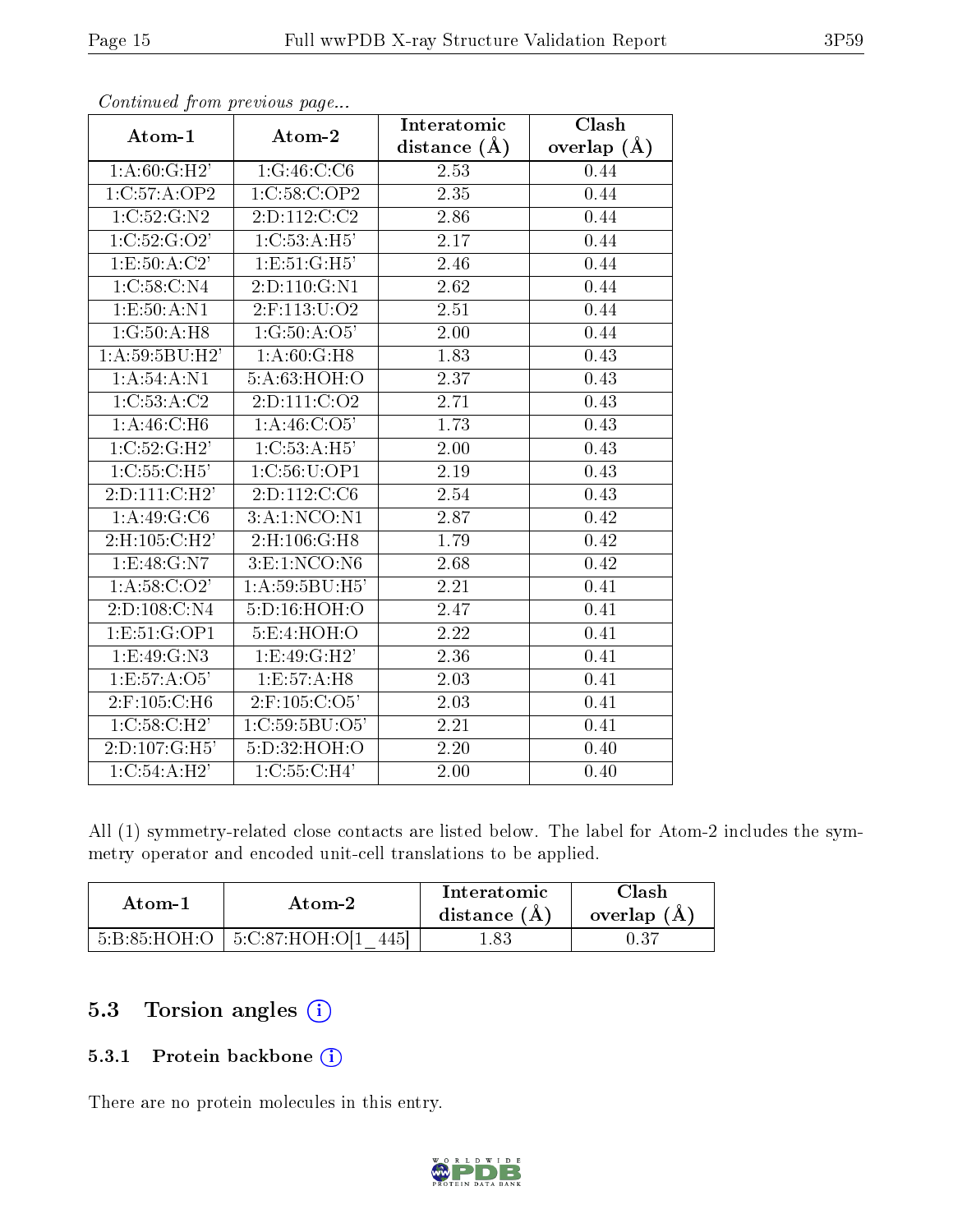|                            |                           | Interatomic       | Clash         |
|----------------------------|---------------------------|-------------------|---------------|
| Atom-1                     | Atom-2                    | distance $(A)$    | overlap $(A)$ |
| 1: A:60: G:H2'             | 1:G:46:C:C6               | 2.53              | 0.44          |
| 1:C:57:A:OP2               | $1:C:\overline{58:C:OP2}$ | 2.35              | 0.44          |
| 1:C:52:G:N2                | 2: D: 112: C: C2          | 2.86              | 0.44          |
| $1:C:52:G\overline{O2'}$   | 1: C: 53: A: H5'          | 2.17              | 0.44          |
| 1: E: 50: A: C2'           | 1:E:51:G:H5'              | 2.46              | 0.44          |
| 1:C:58:C:N4                | 2:D:110:G:N1              | 2.62              | 0.44          |
| 1: E: 50: A: N1            | $2:$ F:113:U:O2           | $\overline{2.51}$ | 0.44          |
| 1:G:50:A:H8                | 1:G:50:A:O5'              | 2.00              | 0.44          |
| 1:A:59:5BU:H2'             | 1:A:60:G:H8               | 1.83              | 0.43          |
| 1: A:54:A:N1               | 5:A:63:HOH:O              | 2.37              | 0.43          |
| 1:C:53:A:C2                | 2: D: 111:C: O2           | 2.71              | 0.43          |
| 1: A:46: C:H6              | 1: A:46: C:O5'            | 1.73              | 0.43          |
| 1: C:52: G:H2'             | 1:C:53:A:H5'              | 2.00              | 0.43          |
| 1:C:55:C:H5'               | 1:C:56:U:OP1              | 2.19              | 0.43          |
| $2:D:111:C:\overline{H2'}$ | 2:D:112:C:C6              | 2.54              | 0.43          |
| 1:A:49:G:C6                | 3:A:1:NCO:N1              | 2.87              | 0.42          |
| $2:$ H:105:C:H2'           | 2: H: 106: G:H8           | 1.79              | 0.42          |
| 1:E:48:G:N7                | $3:$ E:1:NCO:N6           | 2.68              | 0.42          |
| $1: A:58:\overline{C:O2'}$ | 1: A:59:5BU:H5'           | $\overline{2.21}$ | 0.41          |
| 2:D:108:C:N4               | 5:D:16:HOH:O              | 2.47              | 0.41          |
| 1: E: 51: G: OP1           | 5: E: 4: HOH:O            | 2.22              | 0.41          |
| $1:E:49:G:\overline{N3}$   | 1: E: 49: G: H2'          | 2.36              | 0.41          |
| 1:E:57:A:O5'               | 1:E:57:A:H8               | 2.03              | 0.41          |
| 2:F:105:C:H6               | $2:$ F:105:C:O5'          | 2.03              | 0.41          |
| 1: C:58: C:H2'             | 1:C:59:5BU:O5'            | 2.21              | 0.41          |
| 2: D: 107: G:H5'           | 5: D: 32: HOH: O          | $\overline{2.20}$ | 0.40          |
| 1: C: 54: A:H2'            | 1:C:55:C:H4'              | 2.00              | 0.40          |

Continued from previous page...

All (1) symmetry-related close contacts are listed below. The label for Atom-2 includes the symmetry operator and encoded unit-cell translations to be applied.

| Atom-1 | Atom-2                                     | Interatomic<br>distance $(A)$ | Clash<br>overlap $(A)$ |
|--------|--------------------------------------------|-------------------------------|------------------------|
|        | $5:B:85:HOH:O$   $5:C:87:HOH:O[1]$<br>4451 | l.83                          |                        |

### 5.3 Torsion angles (i)

#### 5.3.1 Protein backbone (i)

There are no protein molecules in this entry.

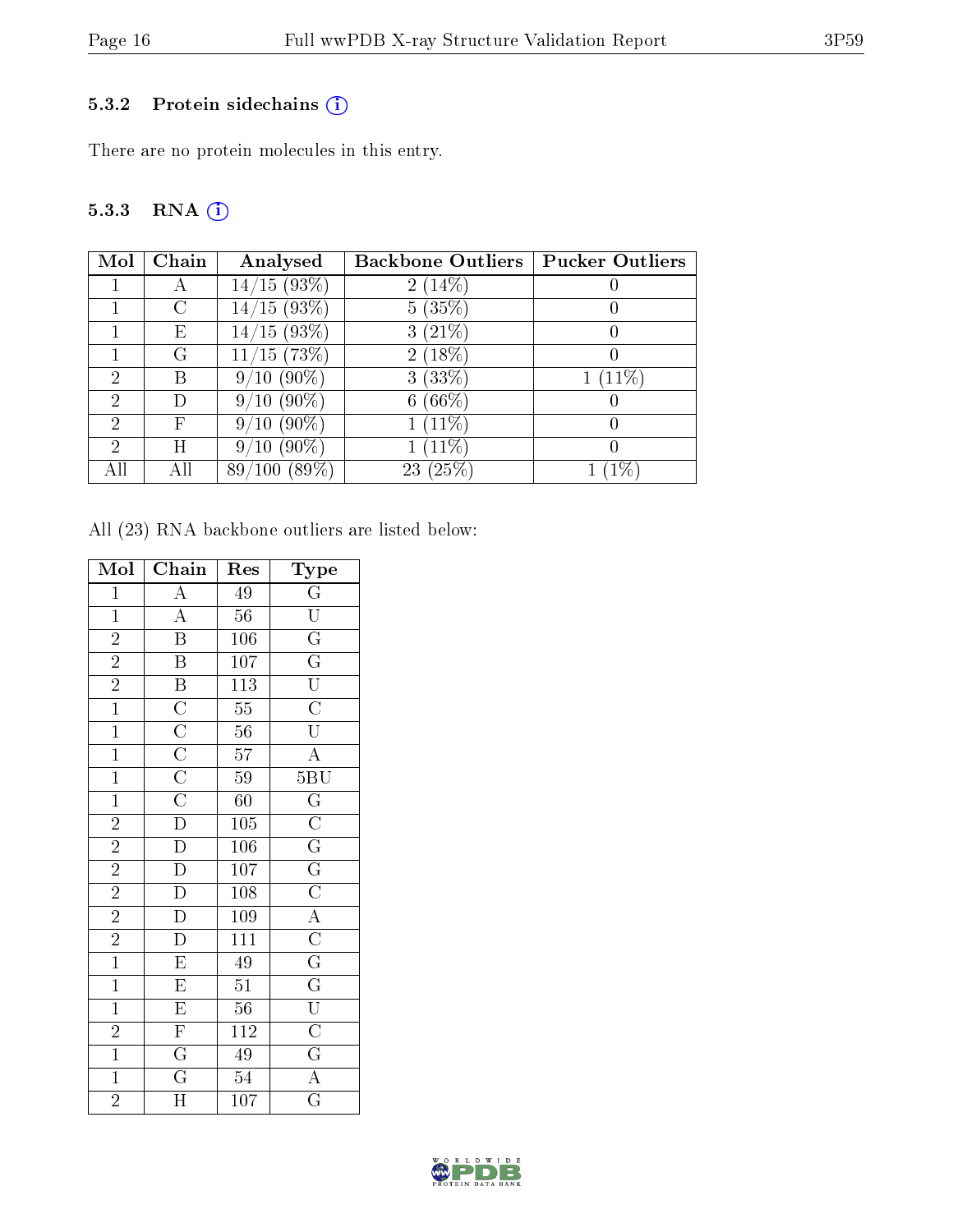#### 5.3.2 Protein sidechains (i)

There are no protein molecules in this entry.

## 5.3.3 RNA [O](https://www.wwpdb.org/validation/2017/XrayValidationReportHelp#rna)i

| Mol           | Chain      | Analysed            | <b>Backbone Outliers   Pucker Outliers</b> |       |
|---------------|------------|---------------------|--------------------------------------------|-------|
|               |            | 14/15(93%)          | $2(14\%)$                                  |       |
|               | C          | $14/15(93\%)$       | 5(35%)                                     |       |
|               | Ε          | $14/15(93\%)$       | $3(21\%)$                                  |       |
|               | G          | $15(73\%)$          | $2(18\%)$                                  |       |
| $\mathcal{D}$ | В          | $(90\%)$<br>9/10    | 3(33%)                                     | (11%) |
| 2             |            | $/10(90\%)$<br>9    | $(66\%)$<br>6                              |       |
| $\mathcal{D}$ | $_{\rm F}$ | $(90\%)$<br>10<br>9 | $(11\%)$                                   |       |
| $\mathcal{D}$ | Ħ          | $(90\%)$<br>$10\,$  | $(11\%)$                                   |       |
|               |            | $(89\%)$<br>89      | $^{\prime}25\%$<br>23                      |       |

All (23) RNA backbone outliers are listed below:

| Mol            | Chain                                                                                                    | Res              | Type                                                                                                                                                                                                                                        |
|----------------|----------------------------------------------------------------------------------------------------------|------------------|---------------------------------------------------------------------------------------------------------------------------------------------------------------------------------------------------------------------------------------------|
| $\overline{1}$ | $\overline{A}$                                                                                           | 49               | $\overline{\frac{\overline{\text{G}}}{\text{U}}}}$ $\overline{\frac{\overline{\text{G}}}{\text{G}}}}$ $\overline{\frac{\overline{\text{G}}}{\text{U}}}}$ $\overline{\text{U}}}$                                                             |
| $\mathbf{1}$   | $\frac{\overline{A}}{\overline{B}}$                                                                      | $56\,$           |                                                                                                                                                                                                                                             |
| $\overline{2}$ |                                                                                                          | 106              |                                                                                                                                                                                                                                             |
| $\frac{2}{2}$  | $\overline{\mathbf{B}}$                                                                                  | $\overline{107}$ |                                                                                                                                                                                                                                             |
|                |                                                                                                          | $\overline{113}$ |                                                                                                                                                                                                                                             |
| $\overline{1}$ | $\overline{B}$ $\overline{C}$ $\overline{C}$ $\overline{C}$ $\overline{C}$ $\overline{C}$ $\overline{D}$ | $\overline{55}$  |                                                                                                                                                                                                                                             |
| $\overline{1}$ |                                                                                                          | $\overline{56}$  |                                                                                                                                                                                                                                             |
| $\overline{1}$ |                                                                                                          | $\overline{57}$  | $\overline{A}$                                                                                                                                                                                                                              |
| $\overline{1}$ |                                                                                                          | $\overline{59}$  |                                                                                                                                                                                                                                             |
| $\overline{1}$ |                                                                                                          | $\overline{60}$  |                                                                                                                                                                                                                                             |
| $\overline{2}$ |                                                                                                          | $\overline{105}$ |                                                                                                                                                                                                                                             |
| $\overline{2}$ | $\overline{D}$                                                                                           | $\overline{106}$ |                                                                                                                                                                                                                                             |
| $\overline{2}$ | $\overline{D}$                                                                                           | $\overline{107}$ |                                                                                                                                                                                                                                             |
|                | $\frac{\overline{D}}{D}$                                                                                 | $\overline{108}$ |                                                                                                                                                                                                                                             |
| $\frac{2}{2}$  |                                                                                                          | 109              |                                                                                                                                                                                                                                             |
|                | $\overline{D}$                                                                                           | $\overline{111}$ |                                                                                                                                                                                                                                             |
| $\overline{1}$ | $\overline{E}$                                                                                           | $\overline{49}$  | $\begin{array}{c c} \textbf{\underline{5BU}} \\ \hline \textbf{G} \\ \hline \textbf{G} \\ \hline \textbf{G} \\ \hline \textbf{G} \\ \hline \textbf{G} \\ \hline \textbf{G} \\ \hline \textbf{G} \\ \hline \textbf{U} \\ \hline \end{array}$ |
| $\overline{1}$ | $\overline{E}$                                                                                           | $\overline{51}$  |                                                                                                                                                                                                                                             |
| $\overline{1}$ | $\overline{E}$                                                                                           | $\overline{56}$  |                                                                                                                                                                                                                                             |
| $\overline{2}$ | $\overline{F}$                                                                                           | $\overline{112}$ |                                                                                                                                                                                                                                             |
| $\overline{1}$ | $\frac{\overline{\text{G}}}{\text{G}}$                                                                   | $\overline{49}$  | $\frac{\overline{C}}{\overline{G}}$<br>$\frac{\overline{G}}{\overline{A}}$                                                                                                                                                                  |
| $\overline{1}$ |                                                                                                          | $\overline{54}$  |                                                                                                                                                                                                                                             |
| $\overline{2}$ | $\overline{\text{H}}$                                                                                    | 107              | $\overline{\mathrm{G}}$                                                                                                                                                                                                                     |

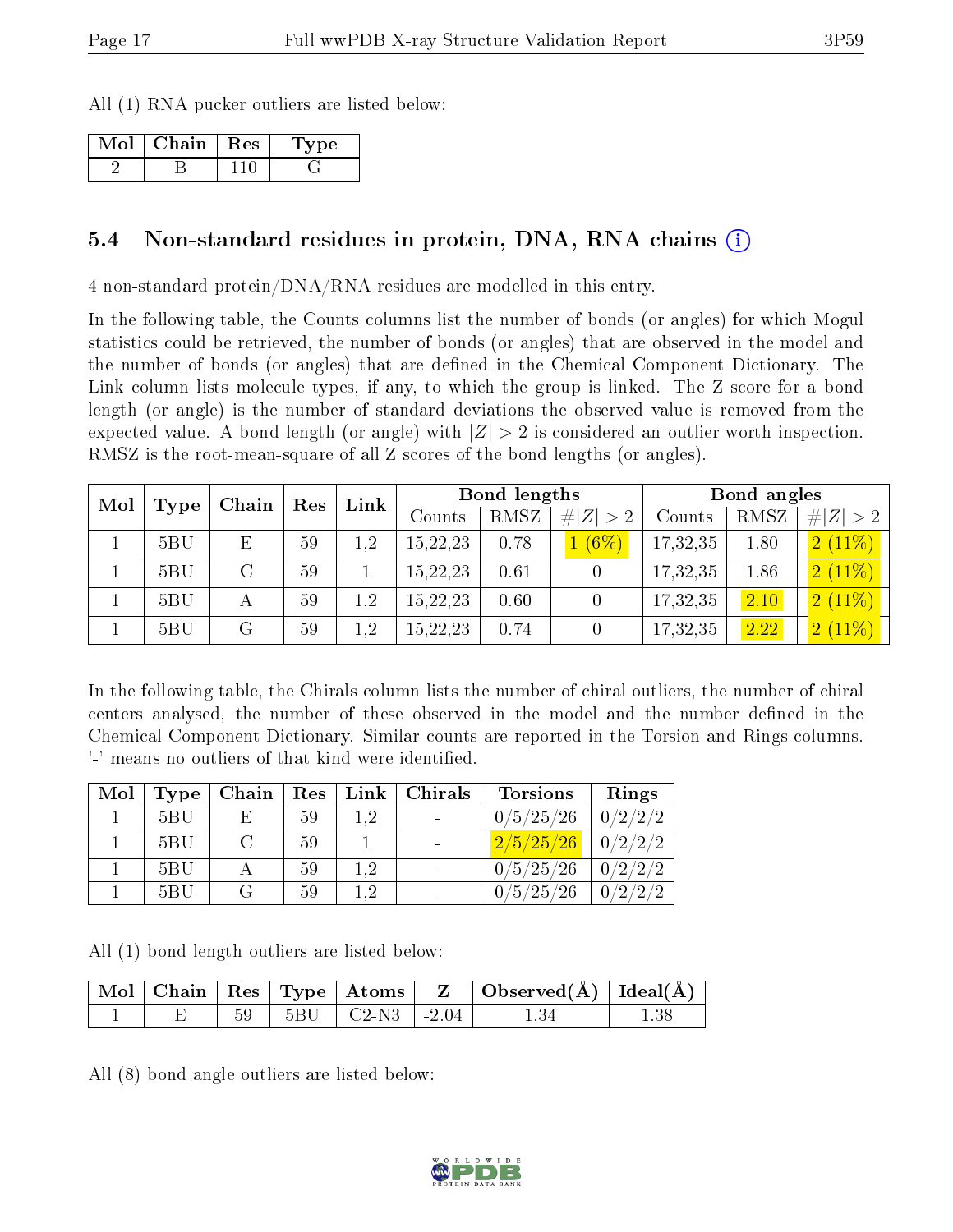All (1) RNA pucker outliers are listed below:

| Mol | Chain   Res | t vpe - |
|-----|-------------|---------|
|     |             |         |

#### 5.4 Non-standard residues in protein, DNA, RNA chains  $\Omega$  $\Omega$  $\Omega$

4 non-standard protein/DNA/RNA residues are modelled in this entry.

In the following table, the Counts columns list the number of bonds (or angles) for which Mogul statistics could be retrieved, the number of bonds (or angles) that are observed in the model and the number of bonds (or angles) that are defined in the Chemical Component Dictionary. The Link column lists molecule types, if any, to which the group is linked. The Z score for a bond length (or angle) is the number of standard deviations the observed value is removed from the expected value. A bond length (or angle) with  $|Z| > 2$  is considered an outlier worth inspection. RMSZ is the root-mean-square of all Z scores of the bond lengths (or angles).

| Mol | Res<br>Chain<br>Type |   | Link |         | Bond lengths |      | Bond angles          |          |      |             |
|-----|----------------------|---|------|---------|--------------|------|----------------------|----------|------|-------------|
|     |                      |   |      |         | Counts       | RMSZ | # $ Z  > 2$          | Counts   | RMSZ | # $ Z  > 2$ |
|     | 5BU                  | E | 59   | 1,2     | 15,22,23     | 0.78 | (6%)<br>$\mathbf{1}$ | 17,32,35 | 1.80 | 2(11%)      |
|     | 5BU                  |   | 59   |         | 15,22,23     | 0.61 |                      | 17,32,35 | 1.86 | $2(11\%)$   |
|     | 5BU                  | А | 59   | $1.2\,$ | 15,22,23     | 0.60 |                      | 17,32,35 | 2.10 | 2(11%)      |
|     | 5BU                  |   | 59   | 1,2     | 15,22,23     | 0.74 |                      | 17,32,35 | 2.22 | 2(11%)      |

In the following table, the Chirals column lists the number of chiral outliers, the number of chiral centers analysed, the number of these observed in the model and the number defined in the Chemical Component Dictionary. Similar counts are reported in the Torsion and Rings columns. '-' means no outliers of that kind were identified.

| Mol | Type |     |    |     | Chain   Res   Link   Chirals | <b>Torsions</b>         | Rings   |
|-----|------|-----|----|-----|------------------------------|-------------------------|---------|
|     | 5BU  | Ε   | 59 | 1.2 | $\sim 100$                   | 0/5/25/26               | 0/2/2/2 |
|     | 5BU  | - 0 | 59 |     | $\sim$                       | $2/5/25/26$   $0/2/2/2$ |         |
|     | 5BU  |     | 59 | 1.2 | $\overline{\phantom{a}}$     | 0/5/25/26               | 0/2/2/2 |
|     | 5BU  |     | 59 | 1.2 |                              | 0/5/25/26               | 0/2/2/2 |

All (1) bond length outliers are listed below:

|  |      | $\pm \mathrm{Mol} \parallel \mathrm{Chain} \parallel \mathrm{Res} \parallel \mathrm{Type} \parallel \mathrm{Atoms} \parallel \mathrm{Z}^{-\perp}$ | $\Box$ Observed( $\AA$ ) $\Box$ Ideal( $\AA$ ) |  |
|--|------|---------------------------------------------------------------------------------------------------------------------------------------------------|------------------------------------------------|--|
|  | $59$ | 5BU   C2-N3   -2.04                                                                                                                               |                                                |  |

All (8) bond angle outliers are listed below:

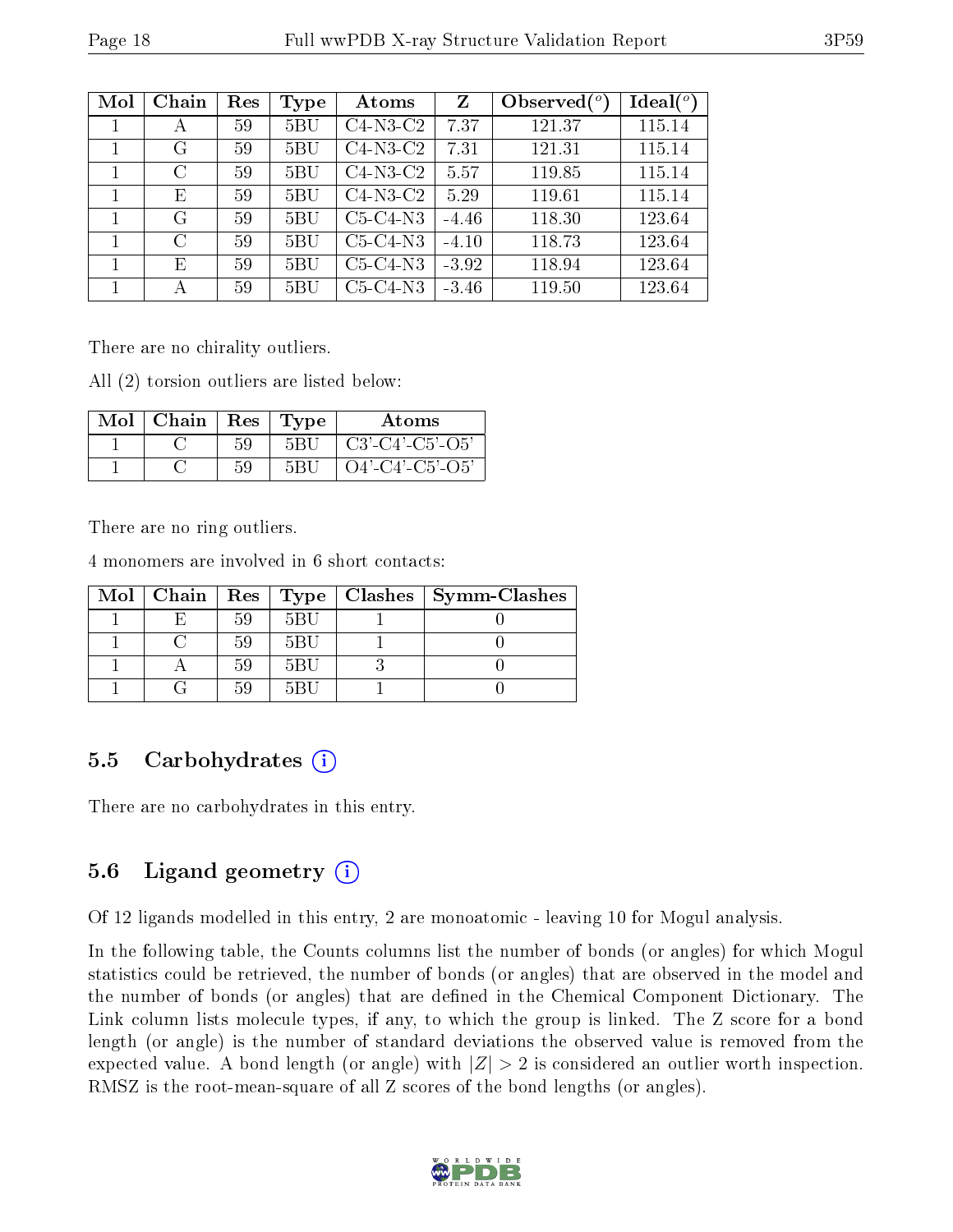| Mol | Chain | Res | Type           | Atoms      | Z       | Observed $\binom{o}{c}$ | $Ideal(^o)$ |
|-----|-------|-----|----------------|------------|---------|-------------------------|-------------|
|     | А     | 59  | 5BU            | $C4-N3-C2$ | 7.37    | 121.37                  | 115.14      |
|     | G     | 59  | $5\mathrm{BU}$ | $C4-N3-C2$ | 7.31    | 121.31                  | 115.14      |
| 1   | C     | 59  | $5\mathrm{BU}$ | $C4-N3-C2$ | 5.57    | 119.85                  | 115.14      |
|     | E     | 59  | $5\mathrm{BU}$ | $C4-N3-C2$ | 5.29    | 119.61                  | 115.14      |
| 1   | G     | 59  | $5\mathrm{BU}$ | $C5-C4-N3$ | $-4.46$ | 118.30                  | 123.64      |
|     | C     | 59  | $5\mathrm{BU}$ | $C5-C4-N3$ | $-4.10$ | 118.73                  | 123.64      |
|     | E     | 59  | 5BU            | $C5-C4-N3$ | $-3.92$ | 118.94                  | 123.64      |
|     | А     | 59  | 5BU            | $C5-C4-N3$ | $-3.46$ | 119.50                  | 123.64      |

There are no chirality outliers.

All (2) torsion outliers are listed below:

| Mol | $\mid$ Chain | Res | Type | Atoms              |
|-----|--------------|-----|------|--------------------|
|     |              | 59  | 5BU  | $C3'-C4'-C5'-O5'$  |
|     |              |     | 5BU  | $O4'$ -C4'-C5'-O5' |

There are no ring outliers.

4 monomers are involved in 6 short contacts:

|  |    |     | Mol   Chain   Res   Type   Clashes   Symm-Clashes |
|--|----|-----|---------------------------------------------------|
|  |    | 5BU |                                                   |
|  | 59 | 5BU |                                                   |
|  | 59 | 5BU |                                                   |
|  |    | 5BH |                                                   |

#### 5.5 Carbohydrates (i)

There are no carbohydrates in this entry.

### 5.6 Ligand geometry  $(i)$

Of 12 ligands modelled in this entry, 2 are monoatomic - leaving 10 for Mogul analysis.

In the following table, the Counts columns list the number of bonds (or angles) for which Mogul statistics could be retrieved, the number of bonds (or angles) that are observed in the model and the number of bonds (or angles) that are dened in the Chemical Component Dictionary. The Link column lists molecule types, if any, to which the group is linked. The Z score for a bond length (or angle) is the number of standard deviations the observed value is removed from the expected value. A bond length (or angle) with  $|Z| > 2$  is considered an outlier worth inspection. RMSZ is the root-mean-square of all Z scores of the bond lengths (or angles).

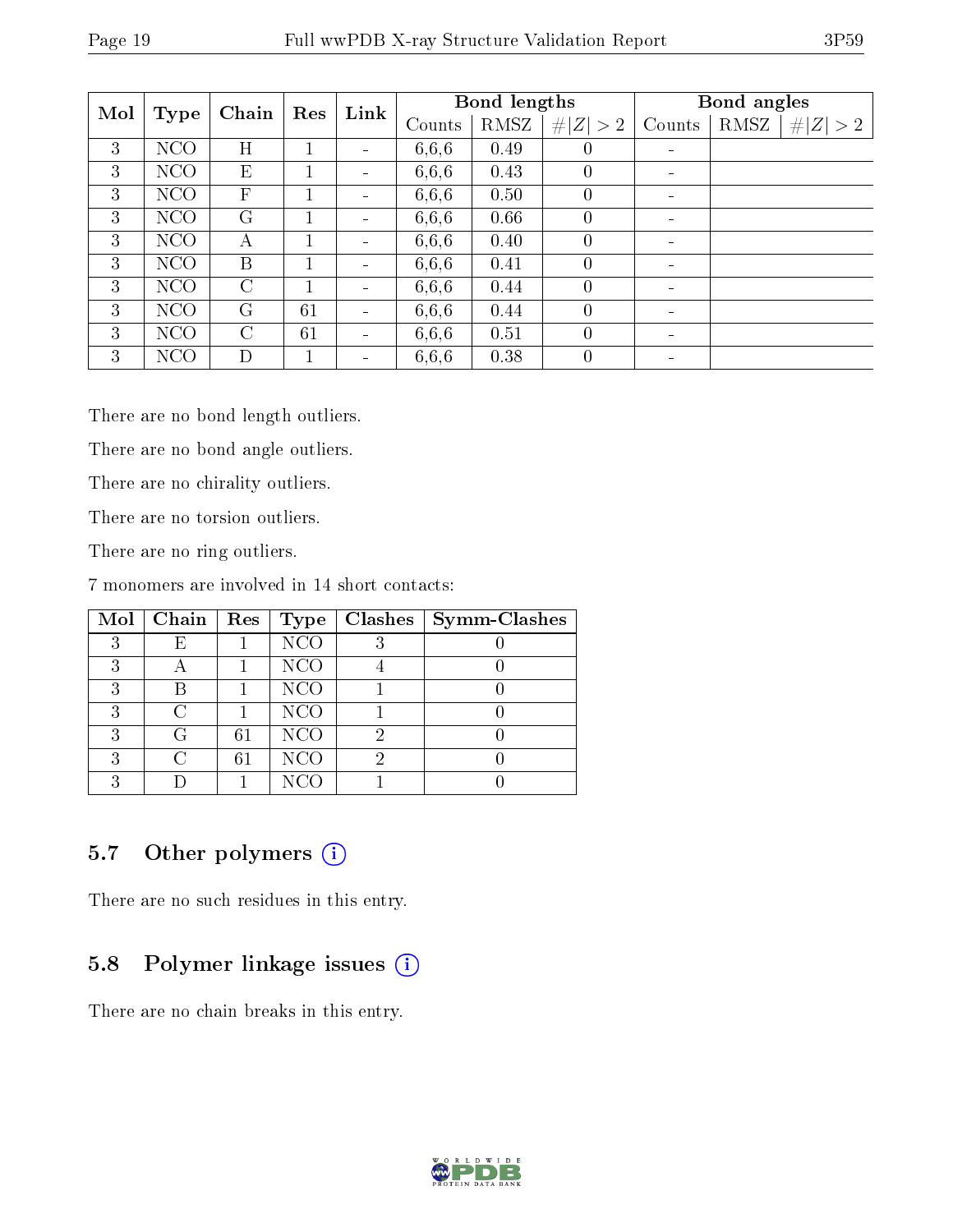| Mol |            | Chain        | Res | Link                         |        | Bond lengths |                | Bond angles              |                        |  |
|-----|------------|--------------|-----|------------------------------|--------|--------------|----------------|--------------------------|------------------------|--|
|     | Type       |              |     |                              | Counts | RMSZ         | # $ Z  > 2$    | Counts                   | RMSZ  <br>  H  Z   > 2 |  |
| 3   | <b>NCO</b> | H            |     |                              | 6,6,6  | 0.49         | $\theta$       |                          |                        |  |
| 3   | NCO        | E            |     | $\overline{\phantom{a}}$     | 6,6,6  | 0.43         | $\overline{0}$ |                          |                        |  |
| 3   | NCO        | $\mathbf{F}$ |     | $\overline{\phantom{a}}$     | 6,6,6  | 0.50         | $\theta$       |                          |                        |  |
| 3   | NCO        | G            |     | $\overline{\phantom{a}}$     | 6,6,6  | 0.66         | $\theta$       | $\overline{\phantom{0}}$ |                        |  |
| 3   | NCO        | А            |     | $\overline{\phantom{a}}$     | 6,6,6  | 0.40         | $\theta$       |                          |                        |  |
| 3   | <b>NCO</b> | B            |     | $\qquad \qquad \blacksquare$ | 6,6,6  | 0.41         | $\theta$       |                          |                        |  |
| 3   | NCO        | C            |     |                              | 6,6,6  | 0.44         | $\theta$       |                          |                        |  |
| 3   | NCO        | G            | 61  |                              | 6,6,6  | 0.44         | $\overline{0}$ |                          |                        |  |
| 3   | <b>NCO</b> | $\rm C$      | 61  | $\blacksquare$               | 6,6,6  | 0.51         | $\theta$       |                          |                        |  |
| 3   | NCO        | D            |     | $\qquad \qquad \blacksquare$ | 6,6,6  | 0.38         | $\theta$       |                          |                        |  |

There are no bond length outliers.

There are no bond angle outliers.

There are no chirality outliers.

There are no torsion outliers.

There are no ring outliers.

7 monomers are involved in 14 short contacts:

|   | Mol   Chain   Res |    | Type            | Clashes | Symm-Clashes |
|---|-------------------|----|-----------------|---------|--------------|
| 9 | F)                |    | <b>NCO</b>      |         |              |
| 2 |                   |    | <b>NCO</b>      |         |              |
| 2 |                   |    | <b>NCO</b>      |         |              |
| २ |                   |    | N <sub>CO</sub> |         |              |
| २ | ( ⊹               | 61 | <b>NCO</b>      |         |              |
| 2 |                   | 61 | <b>NCO</b>      |         |              |
|   |                   |    | NCO             |         |              |

### 5.7 [O](https://www.wwpdb.org/validation/2017/XrayValidationReportHelp#nonstandard_residues_and_ligands)ther polymers  $(i)$

There are no such residues in this entry.

## 5.8 Polymer linkage issues (i)

There are no chain breaks in this entry.

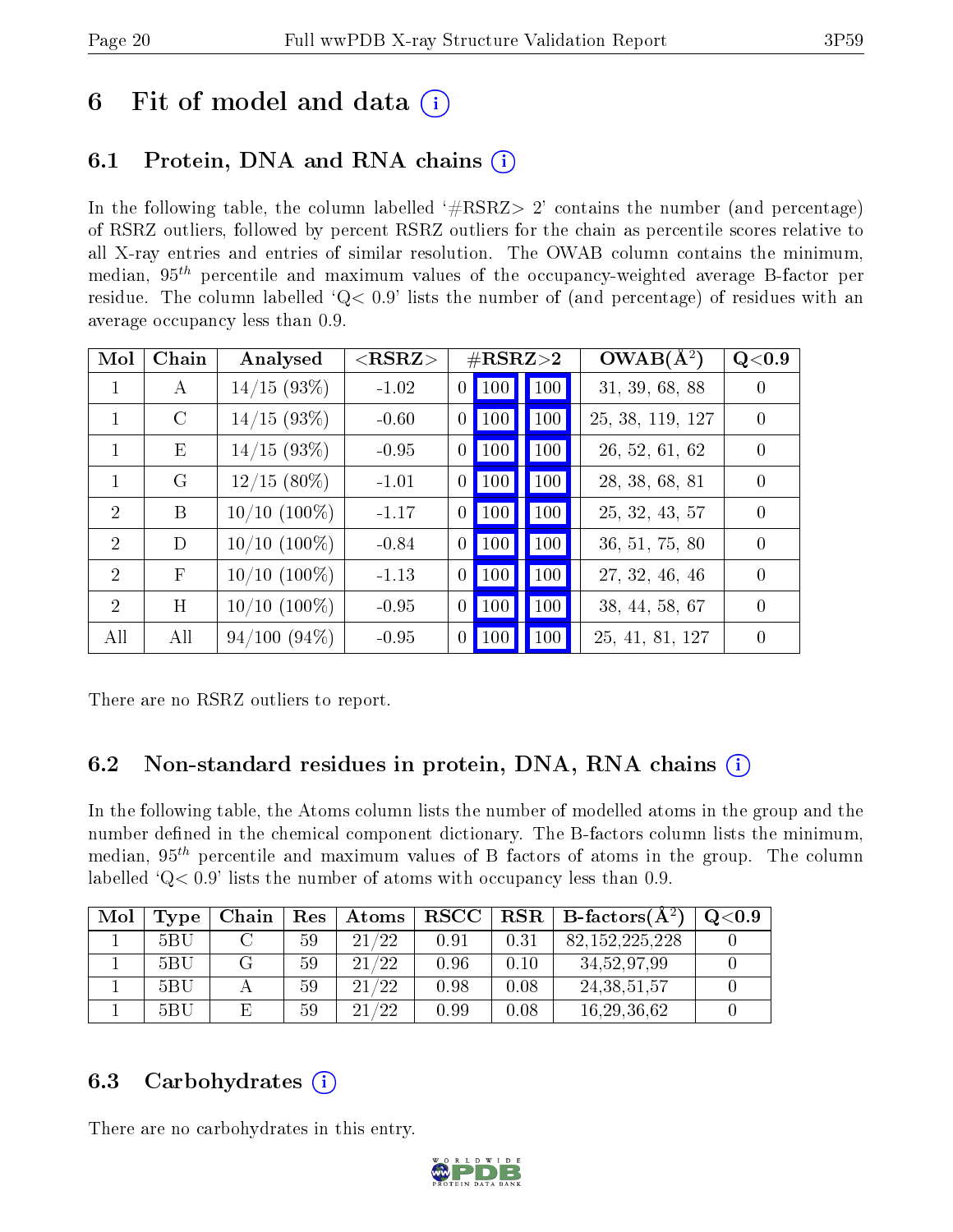## 6 Fit of model and data  $\left( \cdot \right)$

## 6.1 Protein, DNA and RNA chains (i)

In the following table, the column labelled  $#RSRZ>2'$  contains the number (and percentage) of RSRZ outliers, followed by percent RSRZ outliers for the chain as percentile scores relative to all X-ray entries and entries of similar resolution. The OWAB column contains the minimum, median,  $95<sup>th</sup>$  percentile and maximum values of the occupancy-weighted average B-factor per residue. The column labelled ' $Q< 0.9$ ' lists the number of (and percentage) of residues with an average occupancy less than 0.9.

| Mol            | Chain         | Analysed        | ${ <\hspace{-1.5pt}{\mathrm{RSRZ}} \hspace{-1.5pt}>}$ | $\#\text{RSRZ}\text{>2}$ |             | $OWAB(A^2)$      | Q <sub>0.9</sub> |
|----------------|---------------|-----------------|-------------------------------------------------------|--------------------------|-------------|------------------|------------------|
| 1              | A             | 14/15(93%)      | $-1.02$                                               | $0$   100                | $\vert$ 100 | 31, 39, 68, 88   | $\left( \right)$ |
| 1              | $\mathcal{C}$ | 14/15(93%)      | $-0.60$                                               | $0$   100                | <b>100</b>  | 25, 38, 119, 127 | $\theta$         |
| 1              | Ε             | 14/15(93%)      | $-0.95$                                               | $0$   100                | $\vert$ 100 | 26, 52, 61, 62   | $\theta$         |
| 1              | G             | $12/15(80\%)$   | $-1.01$                                               | $0$   100                | 100         | 28, 38, 68, 81   | $\left( \right)$ |
| $\overline{2}$ | B             | $10/10$ (100%)  | $-1.17$                                               | $0$   100                | 100         | 25, 32, 43, 57   | $\Omega$         |
| $\overline{2}$ | D             | $10/10$ (100\%) | $-0.84$                                               | $0$   100                | <b>100</b>  | 36, 51, 75, 80   | $\Omega$         |
| $\overline{2}$ | $\mathbf{F}$  | $10/10$ (100\%) | $-1.13$                                               | $0$   100                | <b>100</b>  | 27, 32, 46, 46   | $\Omega$         |
| $\overline{2}$ | H             | $10/10$ (100%)  | $-0.95$                                               | $0$   100                | 100         | 38, 44, 58, 67   | $\Omega$         |
| All            | All           | 94/100(94%)     | $-0.95$                                               | $0$   100                | <b>100</b>  | 25, 41, 81, 127  | $\Omega$         |

There are no RSRZ outliers to report.

## 6.2 Non-standard residues in protein, DNA, RNA chains  $(i)$

In the following table, the Atoms column lists the number of modelled atoms in the group and the number defined in the chemical component dictionary. The B-factors column lists the minimum, median,  $95<sup>th</sup>$  percentile and maximum values of B factors of atoms in the group. The column labelled 'Q< 0.9' lists the number of atoms with occupancy less than 0.9.

| Mol | Type | Chain | $\operatorname{Res}% \left( \mathcal{N}\right) \equiv\operatorname{Res}(\mathcal{N}_{0})\left( \mathcal{N}_{0}\right) ^{2}$ | Atoms | $_{\rm RSCC}$ |      | $\mid$ RSR $\mid$ B-factors(A <sup>2</sup> ) | $\mathrm{Q}{<}0.9$ |
|-----|------|-------|-----------------------------------------------------------------------------------------------------------------------------|-------|---------------|------|----------------------------------------------|--------------------|
|     | 5BU  |       | 59                                                                                                                          | 21/22 | 0.91          | 0.31 | 82, 152, 225, 228                            |                    |
|     | 5BU  |       | 59                                                                                                                          | 21/22 | 0.96          | 0.10 | 34,52,97,99                                  |                    |
|     | 5BU  |       | 59                                                                                                                          | 21/22 | 0.98          | 0.08 | 24, 38, 51, 57                               |                    |
|     | 5BU  | E.    | 59                                                                                                                          | 21/22 | 0.99          | 0.08 | 16, 29, 36, 62                               |                    |

### 6.3 Carbohydrates (i)

There are no carbohydrates in this entry.